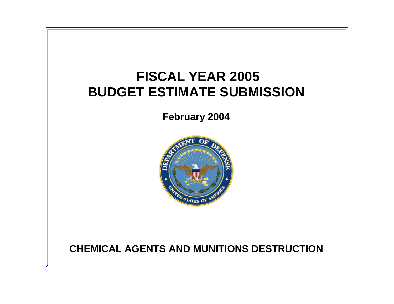# **FISCAL YEAR 2005 BUDGET ESTIMATE SUBMISSION**

**February 2004**



# **CHEMICAL AGENTS AND MUNITIONS DESTRUCTION**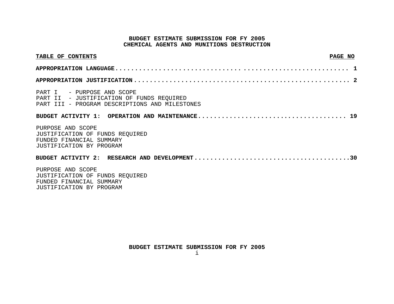## **BUDGET ESTIMATE SUBMISSION FOR FY 2005 CHEMICAL AGENTS AND MUNITIONS DESTRUCTION**

| TABLE OF CONTENTS                                                                                                         | PAGE NO |
|---------------------------------------------------------------------------------------------------------------------------|---------|
|                                                                                                                           |         |
|                                                                                                                           |         |
| PART I - PURPOSE AND SCOPE<br>PART II - JUSTIFICATION OF FUNDS REQUIRED<br>PART III - PROGRAM DESCRIPTIONS AND MILESTONES |         |
| PURPOSE AND SCOPE<br>JUSTIFICATION OF FUNDS REQUIRED<br>FUNDED FINANCIAL SUMMARY<br>JUSTIFICATION BY PROGRAM              |         |
|                                                                                                                           |         |
| PURPOSE AND SCOPE                                                                                                         |         |

 JUSTIFICATION OF FUNDS REQUIRED FUNDED FINANCIAL SUMMARY JUSTIFICATION BY PROGRAM

**BUDGET ESTIMATE SUBMISSION FOR FY 2005**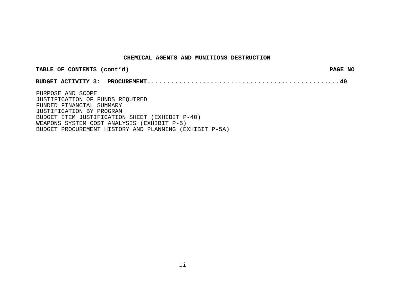#### **CHEMICAL AGENTS AND MUNITIONS DESTRUCTION**

| TABLE OF CONTENTS (cont'd)                                                                                                                             | PAGE NO |
|--------------------------------------------------------------------------------------------------------------------------------------------------------|---------|
|                                                                                                                                                        |         |
| PURPOSE AND SCOPE<br>JUSTIFICATION OF FUNDS REQUIRED<br>FUNDED FINANCIAL SUMMARY<br>JUSTIFICATION BY PROGRAM                                           |         |
| BUDGET ITEM JUSTIFICATION SHEET (EXHIBIT P-40)<br>WEAPONS SYSTEM COST ANALYSIS (EXHIBIT P-5)<br>BUDGET PROCUREMENT HISTORY AND PLANNING (EXHIBIT P-5A) |         |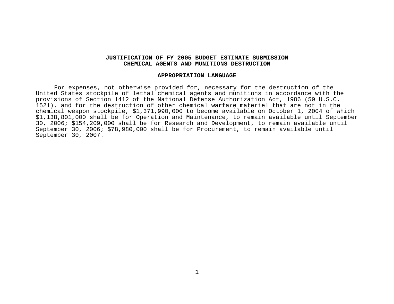# **JUSTIFICATION OF FY 2005 BUDGET ESTIMATE SUBMISSION CHEMICAL AGENTS AND MUNITIONS DESTRUCTION**

#### **APPROPRIATION LANGUAGE**

 For expenses, not otherwise provided for, necessary for the destruction of the United States stockpile of lethal chemical agents and munitions in accordance with the provisions of Section 1412 of the National Defense Authorization Act, 1986 (50 U.S.C. 1521), and for the destruction of other chemical warfare materiel that are not in the chemical weapon stockpile, \$1,371,990,000 to become available on October 1, 2004 of which \$1,138,801,000 shall be for Operation and Maintenance, to remain available until September 30, 2006; \$154,209,000 shall be for Research and Development, to remain available until September 30, 2006; \$78,980,000 shall be for Procurement, to remain available until September 30, 2007.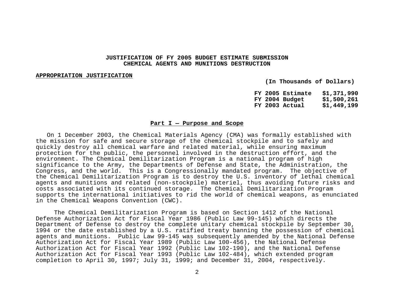# **JUSTIFICATION OF FY 2005 BUDGET ESTIMATE SUBMISSION CHEMICAL AGENTS AND MUNITIONS DESTRUCTION**

#### **APPROPRIATION JUSTIFICATION**

 **(In Thousands of Dollars)** 

 **FY 2005 Estimate \$1,371,990 FY 2004 Budget \$1,500,261 FY 2003 Actual \$1,449,199** 

## **Part I — Purpose and Scope**

 On 1 December 2003, the Chemical Materials Agency (CMA) was formally established with the mission for safe and secure storage of the chemical stockpile and to safely and quickly destroy all chemical warfare and related material, while ensuring maximum protection for the public, the personnel involved in the destruction effort, and the environment. The Chemical Demilitarization Program is a national program of high significance to the Army, the Departments of Defense and State, the Administration, the Congress, and the world. This is a Congressionally mandated program. The objective of the Chemical Demilitarization Program is to destroy the U.S. inventory of lethal chemical agents and munitions and related (non-stockpile) materiel, thus avoiding future risks and costs associated with its continued storage. The Chemical Demilitarization Program supports the international initiatives to rid the world of chemical weapons, as enunciated in the Chemical Weapons Convention (CWC).

 The Chemical Demilitarization Program is based on Section 1412 of the National Defense Authorization Act for Fiscal Year 1986 (Public Law 99-145) which directs the Department of Defense to destroy the complete unitary chemical stockpile by September 30, 1994 or the date established by a U.S. ratified treaty banning the possession of chemical agents and munitions. Public Law 99-145 was subsequently amended by the National Defense Authorization Act for Fiscal Year 1989 (Public Law 100-456), the National Defense Authorization Act for Fiscal Year 1992 (Public Law 102-190), and the National Defense Authorization Act for Fiscal Year 1993 (Public Law 102-484), which extended program completion to April 30, 1997; July 31, 1999; and December 31, 2004, respectively.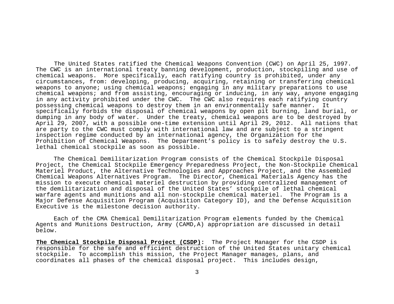The United States ratified the Chemical Weapons Convention (CWC) on April 25, 1997. The CWC is an international treaty banning development, production, stockpiling and use of chemical weapons. More specifically, each ratifying country is prohibited, under any circumstances, from: developing, producing, acquiring, retaining or transferring chemical weapons to anyone; using chemical weapons; engaging in any military preparations to use chemical weapons; and from assisting, encouraging or inducing, in any way, anyone engaging in any activity prohibited under the CWC. The CWC also requires each ratifying country possessing chemical weapons to destroy them in an environmentally safe manner. It specifically forbids the disposal of chemical weapons by open pit burning, land burial, or dumping in any body of water. Under the treaty, chemical weapons are to be destroyed by April 29, 2007, with a possible one-time extension until April 29, 2012. All nations that are party to the CWC must comply with international law and are subject to a stringent inspection regime conducted by an international agency, the Organization for the Prohibition of Chemical Weapons. The Department's policy is to safely destroy the U.S. lethal chemical stockpile as soon as possible.

The Chemical Demilitarization Program consists of the Chemical Stockpile Disposal Project, the Chemical Stockpile Emergency Preparedness Project, the Non-Stockpile Chemical Materiel Product, the Alternative Technologies and Approaches Project, and the Assembled Chemical Weapons Alternatives Program. The Director, Chemical Materials Agency has the mission to execute chemical materiel destruction by providing centralized management of the demilitarization and disposal of the United States' stockpile of lethal chemical warfare agents and munitions and all non-stockpile chemical materiel. The Program is a Major Defense Acquisition Program (Acquisition Category ID), and the Defense Acquisition Executive is the milestone decision authority.

Each of the CMA Chemical Demilitarization Program elements funded by the Chemical Agents and Munitions Destruction, Army (CAMD,A) appropriation are discussed in detail below.

**The Chemical Stockpile Disposal Project (CSDP):** The Project Manager for the CSDP is responsible for the safe and efficient destruction of the United States unitary chemical stockpile. To accomplish this mission, the Project Manager manages, plans, and coordinates all phases of the chemical disposal project. This includes design,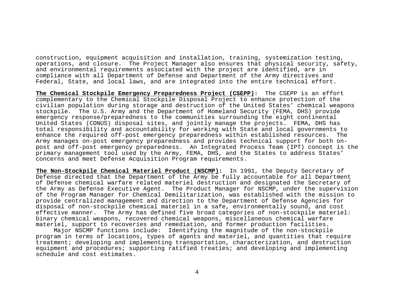construction, equipment acquisition and installation, training, systemization testing, operations, and closure. The Project Manager also ensures that physical security, safety, and environmental requirements associated with the project are identified, are in compliance with all Department of Defense and Department of the Army directives and Federal, State, and local laws, and are integrated into the entire technical effort.

**The Chemical Stockpile Emergency Preparedness Project (CSEPP):** The CSEPP is an effort complementary to the Chemical Stockpile Disposal Project to enhance protection of the civilian population during storage and destruction of the United States' chemical weapons stockpile. The U.S. Army and the Department of Homeland Security (FEMA, DHS) provide emergency response/preparedness to the communities surrounding the eight continental United States (CONUS) disposal sites, and jointly manage the projects. FEMA, DHS has total responsibility and accountability for working with State and local governments to enhance the required off-post emergency preparedness within established resources. The Army manages on-post emergency preparedness and provides technical support for both onpost and off-post emergency preparedness. An Integrated Process Team (IPT) concept is the primary management tool used by the Army, FEMA, DHS, and the States to address States' concerns and meet Defense Acquisition Program requirements.

**The Non-Stockpile Chemical Materiel Product (NSCMP):** In 1991, the Deputy Secretary of Defense directed that the Department of the Army be fully accountable for all Department of Defense chemical warfare related materiel destruction and designated the Secretary of the Army as Defense Executive Agent. The Product Manager for NSCMP, under the supervision of the Program Manager for Chemical Demilitarization, was established with the mission to provide centralized management and direction to the Department of Defense Agencies for disposal of non-stockpile chemical materiel in a safe, environmentally sound, and cost effective manner. The Army has defined five broad categories of non-stockpile materiel: binary chemical weapons, recovered chemical weapons, miscellaneous chemical warfare materiel, support to recoveries and remediation, and former production facilities.

 Major NSCMP functions include: Identifying the magnitude of the non-stockpile program in terms of locations, types of agents and materiel, and quantities that require treatment; developing and implementing transportation, characterization, and destruction equipment and procedures; supporting ratified treaties; and developing and implementing schedule and cost estimates.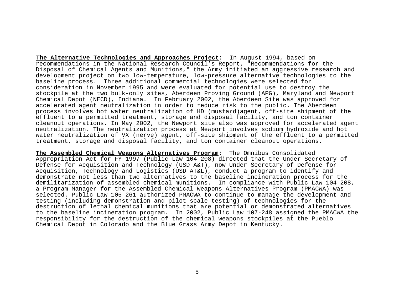**The Alternative Technologies and Approaches Project:** In August 1994, based on recommendations in the National Research Council's Report, "Recommendations for the Disposal of Chemical Agents and Munitions," the Army initiated an aggressive research and development project on two low-temperature, low-pressure alternative technologies to the baseline process. Three additional commercial technologies were selected for consideration in November 1995 and were evaluated for potential use to destroy the stockpile at the two bulk-only sites, Aberdeen Proving Ground (APG), Maryland and Newport Chemical Depot (NECD), Indiana. In February 2002, the Aberdeen Site was approved for accelerated agent neutralization in order to reduce risk to the public. The Aberdeen process involves hot water neutralization of HD (mustard)agent, off-site shipment of the effluent to a permitted treatment, storage and disposal facility, and ton container cleanout operations. In May 2002, the Newport site also was approved for accelerated agent neutralization. The neutralization process at Newport involves sodium hydroxide and hot water neutralization of VX (nerve) agent, off-site shipment of the effluent to a permitted treatment, storage and disposal facility, and ton container cleanout operations.

**The Assembled Chemical Weapons Alternatives Program:** The Omnibus Consolidated Appropriation Act for FY 1997 (Public Law 104-208) directed that the Under Secretary of Defense for Acquisition and Technology (USD A&T), now Under Secretary of Defense for Acquisition, Technology and Logistics (USD AT&L), conduct a program to identify and demonstrate not less than two alternatives to the baseline incineration process for the demilitarization of assembled chemical munitions. In compliance with Public Law 104-208, a Program Manager for the Assembled Chemical Weapons Alternatives Program (PMACWA) was selected. Public Law 105-261 authorized PMACWA to continue to manage the development and testing (including demonstration and pilot-scale testing) of technologies for the destruction of lethal chemical munitions that are potential or demonstrated alternatives to the baseline incineration program. In 2002, Public Law 107-248 assigned the PMACWA the responsibility for the destruction of the chemical weapons stockpiles at the Pueblo Chemical Depot in Colorado and the Blue Grass Army Depot in Kentucky.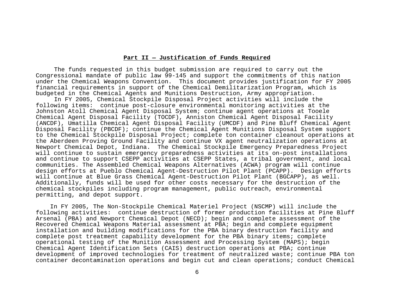# **Part II — Justification of Funds Required**

 The funds requested in this budget submission are required to carry out the Congressional mandate of public law 99-145 and support the commitments of this nation under the Chemical Weapons Convention. This document provides justification for FY 2005 financial requirements in support of the Chemical Demilitarization Program, which is budgeted in the Chemical Agents and Munitions Destruction, Army appropriation.

 In FY 2005, Chemical Stockpile Disposal Project activities will include the following items: continue post-closure environmental monitoring activities at the Johnston Atoll Chemical Agent Disposal System; continue agent operations at Tooele Chemical Agent Disposal Facility (TOCDF), Anniston Chemical Agent Disposal Facility (ANCDF), Umatilla Chemical Agent Disposal Facility (UMCDF) and Pine Bluff Chemical Agent Disposal Facility (PBCDF); continue the Chemical Agent Munitions Disposal System support to the Chemical Stockpile Disposal Project; complete ton container cleanout operations at the Aberdeen Proving Ground Facility and continue VX agent neutralization operations at Newport Chemical Depot, Indiana. The Chemical Stockpile Emergency Preparedness Project will continue to sustain emergency preparedness activities at its on-post installations and continue to support CSEPP activities at CSEPP States, a tribal government, and local communities. The Assembled Chemical Weapons Alternatives (ACWA) program will continue design efforts at Pueblo Chemical Agent-Destruction Pilot Plant (PCAPP). Design efforts will continue at Blue Grass Chemical Agent-Destruction Pilot Plant (BGCAPP), as well. Additionally, funds will be used for other costs necessary for the destruction of the chemical stockpiles including program management, public outreach, environmental permitting, and depot support.

 In FY 2005, The Non-Stockpile Chemical Materiel Project (NSCMP) will include the following activities: continue destruction of former production facilities at Pine Bluff Arsenal (PBA) and Newport Chemical Depot (NECD); begin and complete assessment of the Recovered Chemical Weapons Material assessment at PBA; begin and complete equipment installation and building modifications for the PBA binary destruction facility and complete post treatment capability development for the PBA binary items; complete operational testing of the Munition Assessment and Processing System (MAPS); begin Chemical Agent Identification Sets (CAIS) destruction operations at PBA; continue development of improved technologies for treatment of neutralized waste; continue PBA ton container decontamination operations and begin cut and clean operations; conduct Chemical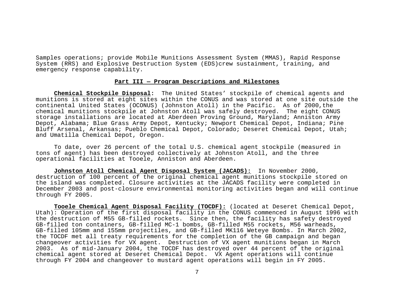Samples operations; provide Mobile Munitions Assessment System (MMAS), Rapid Response System (RRS) and Explosive Destruction System (EDS)crew sustainment, training, and emergency response capability.

#### **Part III — Program Descriptions and Milestones**

**Chemical Stockpile Disposal:** The United States' stockpile of chemical agents and munitions is stored at eight sites within the CONUS and was stored at one site outside the continental United States (OCONUS) (Johnston Atoll) in the Pacific. As of 2000,the chemical munitions stockpile at Johnston Atoll was safely destroyed. The eight CONUS storage installations are located at Aberdeen Proving Ground, Maryland; Anniston Army Depot, Alabama; Blue Grass Army Depot, Kentucky; Newport Chemical Depot, Indiana; Pine Bluff Arsenal, Arkansas; Pueblo Chemical Depot, Colorado; Deseret Chemical Depot, Utah; and Umatilla Chemical Depot, Oregon.

 To date, over 26 percent of the total U.S. chemical agent stockpile (measured in tons of agent) has been destroyed collectively at Johnston Atoll, and the three operational facilities at Tooele, Anniston and Aberdeen.

**Johnston Atoll Chemical Agent Disposal System (JACADS):** In November 2000, destruction of 100 percent of the original chemical agent munitions stockpile stored on the island was completed. Closure activities at the JACADS facility were completed in December 2003 and post-closure environmental monitoring activities began and will continue through FY 2005.

**Tooele Chemical Agent Disposal Facility (TOCDF):** (located at Deseret Chemical Depot, Utah): Operation of the first disposal facility in the CONUS commenced in August 1996 with the destruction of M55 GB-filled rockets. Since then, the facility has safety destroyed GB-filled ton containers, GB-filled MC-1 bombs, GB-filled M55 rockets, M56 warheads, GB-filled 105mm and 155mm projectiles, and GB-filled MK116 Weteye Bombs. In March 2002, the TOCDF met all treaty requirements for the completion of the GB campaign and began changeover activities for VX agent. Destruction of VX agent munitions began in March 2003. As of mid-January 2004, the TOCDF has destroyed over 44 percent of the original chemical agent stored at Deseret Chemical Depot. VX Agent operations will continue through FY 2004 and changeover to mustard agent operations will begin in FY 2005.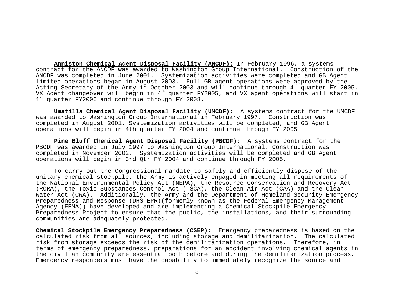**Anniston Chemical Agent Disposal Facility (ANCDF):** In February 1996, a systems contract for the ANCDF was awarded to Washington Group International. Construction of the ANCDF was completed in June 2001. Systemization activities were completed and GB Agent limited operations began in August 2003. Full GB agent operations were approved by the Acting Secretary of the Army in October 2003 and will continue through  $4^{th}$  quarter FY 2005. VX Agent changeover will begin in  $4<sup>th</sup>$  quarter FY2005, and VX agent operations will start in  $1<sup>st</sup>$  quarter FY2006 and continue through FY 2008.

**Umatilla Chemical Agent Disposal Facility (UMCDF)**: A systems contract for the UMCDF was awarded to Washington Group International in February 1997. Construction was completed in August 2001. Systemization activities will be completed, and GB Agent operations will begin in 4th quarter FY 2004 and continue through FY 2005.

**Pine Bluff Chemical Agent Disposal Facility (PBCDF)**: A systems contract for the PBCDF was awarded in July 1997 to Washington Group International. Construction was completed in November 2002. Systemization activities will be completed and GB Agent operations will begin in 3rd Qtr FY 2004 and continue through FY 2005.

 To carry out the Congressional mandate to safely and efficiently dispose of the unitary chemical stockpile, the Army is actively engaged in meeting all requirements of the National Environmental Policy Act (NEPA), the Resource Conservation and Recovery Act (RCRA), the Toxic Substances Control Act (TSCA), the Clean Air Act (CAA) and the Clean Water Act (CWA). Additionally, the Army and the Department of Homeland Security Emergency Preparedness and Response (DHS-EPR)(formerly known as the Federal Emergency Management Agency (FEMA)) have developed and are implementing a Chemical Stockpile Emergency Preparedness Project to ensure that the public, the installations, and their surrounding communities are adequately protected.

**Chemical Stockpile Emergency Preparedness (CSEP):** Emergency preparedness is based on the calculated risk from all sources, including storage and demilitarization. The calculated risk from storage exceeds the risk of the demilitarization operations. Therefore, in terms of emergency preparedness, preparations for an accident involving chemical agents in the civilian community are essential both before and during the demilitarization process. Emergency responders must have the capability to immediately recognize the source and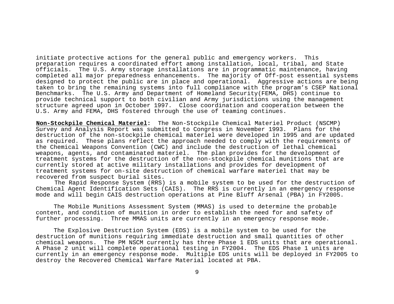initiate protective actions for the general public and emergency workers. This preparation requires a coordinated effort among installation, local, tribal, and State officials. The U.S. Army storage installations are in programmatic maintenance, having completed all major preparedness enhancements. The majority of Off-post essential systems designed to protect the public are in place and operational. Aggressive actions are being taken to bring the remaining systems into full compliance with the program's CSEP National Benchmarks. The U.S. Army and Department of Homeland Security(FEMA, DHS) continue to provide technical support to both civilian and Army jurisdictions using the management structure agreed upon in October 1997. Close coordination and cooperation between the U.S. Army and FEMA, DHS fostered through the use of teaming continues.

**Non-Stockpile Chemical Materiel:** The Non-Stockpile Chemical Materiel Product (NSCMP) Survey and Analysis Report was submitted to Congress in November 1993. Plans for the destruction of the non-stockpile chemical materiel were developed in 1995 and are updated as required. These plans reflect the approach needed to comply with the requirements of the Chemical Weapons Convention (CWC) and include the destruction of lethal chemical weapons, agents, and contaminated materiel. The plan provides for the development of treatment systems for the destruction of the non-stockpile chemical munitions that are currently stored at active military installations and provides for development of treatment systems for on-site destruction of chemical warfare materiel that may be recovered from suspect burial sites.

 The Rapid Response System (RRS) is a mobile system to be used for the destruction of Chemical Agent Identification Sets (CAIS). The RRS is currently in an emergency response mode and will begin CAIS destruction operations at Pine Bluff Arsenal (PBA) in FY2005.

 The Mobile Munitions Assessment System (MMAS) is used to determine the probable content, and condition of munition in order to establish the need for and safety of further processing. Three MMAS units are currently in an emergency response mode.

 The Explosive Destruction System (EDS) is a mobile system to be used for the destruction of munitions requiring immediate destruction and small quantities of other chemical weapons. The PM NSCM currently has three Phase 1 EDS units that are operational. A Phase 2 unit will complete operational testing in FY2004. The EDS Phase 1 units are currently in an emergency response mode. Multiple EDS units will be deployed in FY2005 to destroy the Recovered Chemical Warfare Material located at PBA.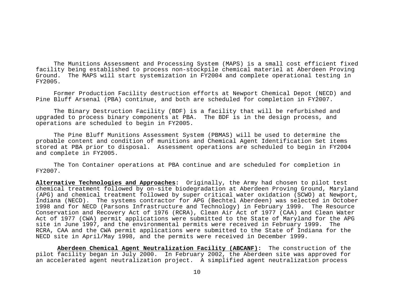The Munitions Assessment and Processing System (MAPS) is a small cost efficient fixed facility being established to process non-stockpile chemical materiel at Aberdeen Proving Ground. The MAPS will start systemization in FY2004 and complete operational testing in FY2005.

 Former Production Facility destruction efforts at Newport Chemical Depot (NECD) and Pine Bluff Arsenal (PBA) continue, and both are scheduled for completion in FY2007.

 The Binary Destruction Facility (BDF) is a facility that will be refurbished and upgraded to process binary components at PBA. The BDF is in the design process, and operations are scheduled to begin in FY2005.

 The Pine Bluff Munitions Assessment System (PBMAS) will be used to determine the probable content and condition of munitions and Chemical Agent Identification Set items stored at PBA prior to disposal. Assessment operations are scheduled to begin in FY2004 and complete in FY2005.

 The Ton Container operations at PBA continue and are scheduled for completion in FY2007.

**Alternative Technologies and Approaches:** Originally, the Army had chosen to pilot test chemical treatment followed by on-site biodegradation at Aberdeen Proving Ground, Maryland (APG) and chemical treatment followed by super critical water oxidation (SCWO) at Newport, Indiana (NECD). The systems contractor for APG (Bechtel Aberdeen) was selected in October 1998 and for NECD (Parsons Infrastructure and Technology) in February 1999. The Resource Conservation and Recovery Act of 1976 (RCRA), Clean Air Act of 1977 (CAA) and Clean Water Act of 1977 (CWA) permit applications were submitted to the State of Maryland for the APG site in June 1997, and the environmental permits were received in February 1999. The RCRA, CAA and the CWA permit applications were submitted to the State of Indiana for the NECD site in April/May 1998, and the permits were received in December 1999.

**Aberdeen Chemical Agent Neutralization Facility (ABCANF):** The construction of the pilot facility began in July 2000. In February 2002, the Aberdeen site was approved for an accelerated agent neutralization project. A simplified agent neutralization process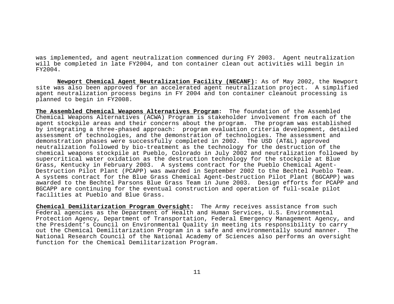was implemented, and agent neutralization commenced during FY 2003. Agent neutralization will be completed in late FY2004, and ton container clean out activities will begin in FY2004.

**Newport Chemical Agent Neutralization Facility (NECANF)**: As of May 2002, the Newport site was also been approved for an accelerated agent neutralization project. A simplified agent neutralization process begins in FY 2004 and ton container cleanout processing is planned to begin in FY2008.

**The Assembled Chemical Weapons Alternatives Program:** The foundation of the Assembled Chemical Weapons Alternatives (ACWA) Program is stakeholder involvement from each of the agent stockpile areas and their concerns about the program. The program was established by integrating a three-phased approach: program evaluation criteria development, detailed assessment of technologies, and the demonstration of technologies. The assessment and demonstration phases were successfully completed in 2002. The USD (AT&L) approved neutralization followed by bio-treatment as the technology for the destruction of the chemical weapons stockpile at Pueblo, Colorado in July 2002 and neutralization followed by supercritical water oxidation as the destruction technology for the stockpile at Blue Grass, Kentucky in February 2003. A systems contract for the Pueblo Chemical Agent-Destruction Pilot Plant (PCAPP) was awarded in September 2002 to the Bechtel Pueblo Team. A systems contract for the Blue Grass Chemical Agent-Destruction Pilot Plant (BGCAPP) was awarded to the Bechtel Parsons Blue Grass Team in June 2003. Design efforts for PCAPP and BGCAPP are continuing for the eventual construction and operation of full-scale pilot facilities at Pueblo and Blue Grass.

**Chemical Demilitarization Program Oversight:** The Army receives assistance from such Federal agencies as the Department of Health and Human Services, U.S. Environmental Protection Agency, Department of Transportation, Federal Emergency Management Agency, and the President's Council on Environmental Quality in meeting its responsibility to carry out the Chemical Demilitarization Program in a safe and environmentally sound manner. The National Research Council of the National Academy of Sciences also performs an oversight function for the Chemical Demilitarization Program.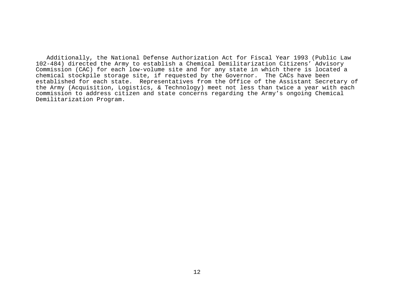Additionally, the National Defense Authorization Act for Fiscal Year 1993 (Public Law 102-484) directed the Army to establish a Chemical Demilitarization Citizens' Advisory Commission (CAC) for each low-volume site and for any state in which there is located a chemical stockpile storage site, if requested by the Governor. The CACs have been established for each state. Representatives from the Office of the Assistant Secretary of the Army (Acquisition, Logistics, & Technology) meet not less than twice a year with each commission to address citizen and state concerns regarding the Army's ongoing Chemical Demilitarization Program.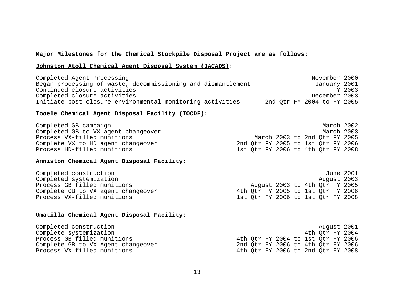# **Major Milestones for the Chemical Stockpile Disposal Project are as follows:**

# **Johnston Atoll Chemical Agent Disposal System (JACADS):**

| Completed Agent Processing                                   | November 2000              |
|--------------------------------------------------------------|----------------------------|
| Began processing of waste, decommissioning and dismantlement | January 2001               |
| Continued closure activities                                 | FY 2003                    |
| Completed closure activities                                 | December 2003              |
| Initiate post closure environmental monitoring activities    | 2nd Otr FY 2004 to FY 2005 |

# **Tooele Chemical Agent Disposal Facility (TOCDF):**

| Completed GB campaign               |  |                                    |  |  | March 2002                         |
|-------------------------------------|--|------------------------------------|--|--|------------------------------------|
| Completed GB to VX agent changeover |  |                                    |  |  | March 2003                         |
| Process VX-filled munitions         |  | March 2003 to 2nd Otr FY 2005      |  |  |                                    |
| Complete VX to HD agent changeover  |  | 2nd Otr FY 2005 to 1st Otr FY 2006 |  |  |                                    |
| Process HD-filled munitions         |  |                                    |  |  | 1st Otr FY 2006 to 4th Otr FY 2008 |

# **Anniston Chemical Agent Disposal Facility:**

| Completed construction             |                                    |  |                                |  |  | June 2001                          |
|------------------------------------|------------------------------------|--|--------------------------------|--|--|------------------------------------|
| Completed systemization            |                                    |  |                                |  |  | August 2003                        |
| Process GB filled munitions        |                                    |  | August 2003 to 4th Qtr FY 2005 |  |  |                                    |
| Complete GB to VX agent changeover | 4th Otr FY 2005 to 1st Otr FY 2006 |  |                                |  |  |                                    |
| Process VX-filled munitions        |                                    |  |                                |  |  | 1st Otr FY 2006 to 1st Otr FY 2008 |

# **Umatilla Chemical Agent Disposal Facility:**

| Completed construction             |  |                                    |  |  | August 2001                        |
|------------------------------------|--|------------------------------------|--|--|------------------------------------|
| Complete systemization             |  |                                    |  |  | 4th Otr FY 2004                    |
| Process GB filled munitions        |  |                                    |  |  | 4th Otr FY 2004 to 1st Otr FY 2006 |
| Complete GB to VX Agent changeover |  | 2nd Otr FY 2006 to 4th Otr FY 2006 |  |  |                                    |
| Process VX filled munitions        |  |                                    |  |  | 4th Otr FY 2006 to 2nd Otr FY 2008 |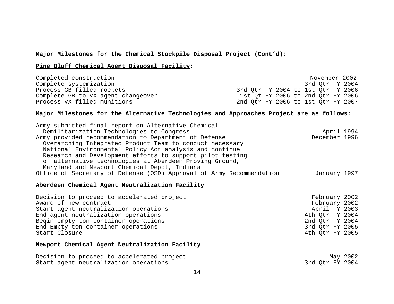# **Major Milestones for the Chemical Stockpile Disposal Project (Cont'd):**

# **Pine Bluff Chemical Agent Disposal Facility:**

| Completed construction             |                                    |  |  |  | November 2002   |
|------------------------------------|------------------------------------|--|--|--|-----------------|
| Complete systemization             |                                    |  |  |  | 3rd Otr FY 2004 |
| Process GB filled rockets          | 3rd Otr FY 2004 to 1st Qtr FY 2006 |  |  |  |                 |
| Complete GB to VX agent changeover | 1st Ot FY 2006 to 2nd Otr FY 2006  |  |  |  |                 |
| Process VX filled munitions        | 2nd Otr FY 2006 to 1st Otr FY 2007 |  |  |  |                 |

# **Major Milestones for the Alternative Technologies and Approaches Project are as follows:**

| Army submitted final report on Alternative Chemical                  |               |  |
|----------------------------------------------------------------------|---------------|--|
| Demilitarization Technologies to Congress                            | April 1994    |  |
| Army provided recommendation to Department of Defense                | December 1996 |  |
| Overarching Integrated Product Team to conduct necessary             |               |  |
| National Environmental Policy Act analysis and continue              |               |  |
| Research and Development efforts to support pilot testing            |               |  |
| of alternative technologies at Aberdeen Proving Ground,              |               |  |
| Maryland and Newport Chemical Depot, Indiana                         |               |  |
| Office of Secretary of Defense (OSD) Approval of Army Recommendation | January 1997  |  |
|                                                                      |               |  |

# **Aberdeen Chemical Agent Neutralization Facility**

| Decision to proceed to accelerated project | February 2002   |
|--------------------------------------------|-----------------|
| Award of new contract                      | February 2002   |
| Start agent neutralization operations      | April FY 2003   |
| End agent neutralization operations        | 4th Otr FY 2004 |
| Begin empty ton container operations       | 2nd Otr FY 2004 |
| End Empty ton container operations         | 3rd Otr FY 2005 |
| Start Closure                              | 4th Otr FY 2005 |

# **Newport Chemical Agent Neutralization Facility**

| Decision to proceed to accelerated project |                 | May 2002 |
|--------------------------------------------|-----------------|----------|
| Start agent neutralization operations      | 3rd Otr FY 2004 |          |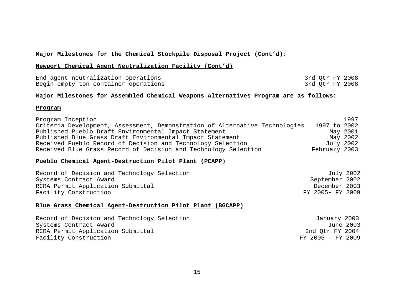# **Major Milestones for the Chemical Stockpile Disposal Project (Cont'd):**

# **Newport Chemical Agent Neutralization Facility (Cont'd)**

| End agent neutralization operations  |  | 3rd Otr FY 2008 |
|--------------------------------------|--|-----------------|
| Begin empty ton container operations |  | 3rd Otr FY 2008 |

# **Major Milestones for Assembled Chemical Weapons Alternatives Program are as follows:**

# **Program**

| Program Inception                                                           | 1997          |
|-----------------------------------------------------------------------------|---------------|
| Criteria Development, Assessment, Demonstration of Alternative Technologies | 1997 to 2002  |
| Published Pueblo Draft Environmental Impact Statement                       | May 2001      |
| Published Blue Grass Draft Environmental Impact Statement                   | May 2002      |
| Received Pueblo Record of Decision and Technology Selection                 | July 2002     |
| Received Blue Grass Record of Decision and Technology Selection             | February 2003 |

# **Pueblo Chemical Agent-Destruction Pilot Plant (PCAPP**)

| Record of Decision and Technology Selection | July 2002        |
|---------------------------------------------|------------------|
| Systems Contract Award                      | September 2002   |
| RCRA Permit Application Submittal           | December 2003    |
| Facility Construction                       | FY 2005- FY 2009 |

# **Blue Grass Chemical Agent-Destruction Pilot Plant (BGCAPP)**

| Record of Decision and Technology Selection | January 2003      |
|---------------------------------------------|-------------------|
| Systems Contract Award                      | June 2003         |
| RCRA Permit Application Submittal           | 2nd Otr FY 2004   |
| Facility Construction                       | FY 2005 - FY 2009 |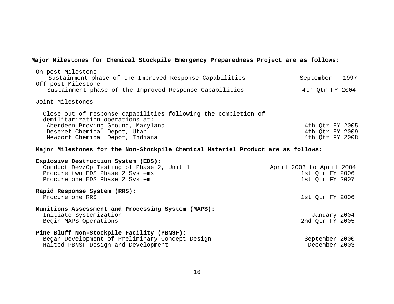# **Major Milestones for Chemical Stockpile Emergency Preparedness Project are as follows:**

| On-post Milestone<br>Sustainment phase of the Improved Response Capabilities<br>Off-post Milestone                                                                                                        | September<br>1997                                              |
|-----------------------------------------------------------------------------------------------------------------------------------------------------------------------------------------------------------|----------------------------------------------------------------|
| Sustainment phase of the Improved Response Capabilities                                                                                                                                                   | 4th Otr FY 2004                                                |
| Joint Milestones:                                                                                                                                                                                         |                                                                |
| Close out of response capabilities following the completion of<br>demilitarization operations at:<br>Aberdeen Proving Ground, Maryland<br>Deseret Chemical Depot, Utah<br>Newport Chemical Depot, Indiana | 4th Qtr FY 2005<br>4th Qtr FY 2009<br>4th Qtr FY 2008          |
| Major Milestones for the Non-Stockpile Chemical Materiel Product are as follows:                                                                                                                          |                                                                |
| Explosive Destruction System (EDS):<br>Conduct Dev/Op Testing of Phase 2, Unit 1<br>Procure two EDS Phase 2 Systems<br>Procure one EDS Phase 2 System                                                     | April 2003 to April 2004<br>1st Qtr FY 2006<br>1st Qtr FY 2007 |
| Rapid Response System (RRS):<br>Procure one RRS                                                                                                                                                           | 1st Qtr FY 2006                                                |
| Munitions Assessment and Processing System (MAPS):<br>Initiate Systemization<br>Begin MAPS Operations                                                                                                     | January 2004<br>2nd Qtr FY 2005                                |
| Pine Bluff Non-Stockpile Facility (PBNSF):<br>Began Development of Preliminary Concept Design<br>Halted PBNSF Design and Development                                                                      | September 2000<br>December 2003                                |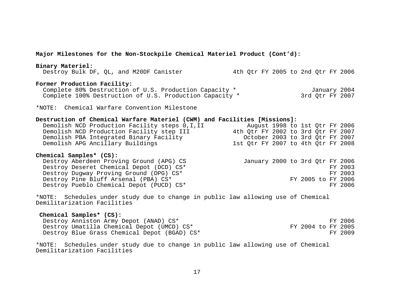| Major Milestones for the Non-Stockpile Chemical Materiel Product (Cont'd):                                                                                                                                                                               |                                                                          |                                                                                        |  |  |  |
|----------------------------------------------------------------------------------------------------------------------------------------------------------------------------------------------------------------------------------------------------------|--------------------------------------------------------------------------|----------------------------------------------------------------------------------------|--|--|--|
| Binary Materiel:<br>Destroy Bulk DF, QL, and M20DF Canister                                                                                                                                                                                              | 4th Qtr FY 2005 to 2nd Qtr FY 2006                                       |                                                                                        |  |  |  |
| Former Production Facility:<br>Complete 80% Destruction of U.S. Production Capacity *<br>Complete 100% Destruction of U.S. Production Capacity *                                                                                                         |                                                                          | January 2004<br>3rd Qtr FY 2007                                                        |  |  |  |
| *NOTE: Chemical Warfare Convention Milestone                                                                                                                                                                                                             |                                                                          |                                                                                        |  |  |  |
| Destruction of Chemical Warfare Materiel (CWM) and Facilities [Missions]:<br>Demolish NCD Production Facility steps 0, I, II<br>Demolish NCD Production Facility step III<br>Demolish PBA Integrated Binary Facility<br>Demolish APG Ancillary Buildings | 4th Qtr FY 2002 to 3rd Qtr FY 2007<br>1st Qtr FY 2007 to 4th Qtr FY 2008 | August 1998 to 1st Qtr FY 2006<br>October 2003 to 3rd Qtr FY 2007                      |  |  |  |
| Chemical Samples* (CS):<br>Destroy Aberdeen Proving Ground (APG) CS<br>Destroy Deseret Chemical Depot (DCD) CS*<br>Destroy Dugway Proving Ground (DPG) CS*<br>Destroy Pine Bluff Arsenal (PBA) CS*<br>Destroy Pueblo Chemical Depot (PUCD) CS*           |                                                                          | January 2000 to 3rd Qtr FY 2006<br>FY 2003<br>FY 2003<br>FY 2005 to FY 2006<br>FY 2006 |  |  |  |
| *NOTE: Schedules under study due to change in public law allowing use of Chemical<br>Demilitarization Facilities                                                                                                                                         |                                                                          |                                                                                        |  |  |  |

| Chemical Samples* (CS): |                                              |                    |  |         |
|-------------------------|----------------------------------------------|--------------------|--|---------|
|                         | Destroy Anniston Army Depot (ANAD) CS*       |                    |  | FY 2006 |
|                         | Destroy Umatilla Chemical Depot (UMCD) CS*   | FY 2004 to FY 2005 |  |         |
|                         | Destroy Blue Grass Chemical Depot (BGAD) CS* |                    |  | FY 2009 |

\*NOTE: Schedules under study due to change in public law allowing use of Chemical Demilitarization Facilities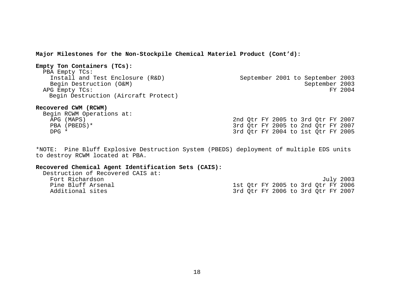**Major Milestones for the Non-Stockpile Chemical Materiel Product (Cont'd):** 

| Empty Ton Containers (TCs):      |                                      |  |                                  |         |
|----------------------------------|--------------------------------------|--|----------------------------------|---------|
| PBA Empty TCs:                   |                                      |  |                                  |         |
| Install and Test Enclosure (R&D) |                                      |  | September 2001 to September 2003 |         |
| Begin Destruction (O&M)          |                                      |  | September 2003                   |         |
| APG Empty TCs:                   |                                      |  |                                  | FY 2004 |
|                                  | Begin Destruction (Aircraft Protect) |  |                                  |         |
|                                  |                                      |  |                                  |         |

# **Recovered CWM (RCWM)**

|       | Begin RCWM Operations at: |  |                                    |  |  |                                    |
|-------|---------------------------|--|------------------------------------|--|--|------------------------------------|
|       | APG (MAPS)                |  | 2nd Otr FY 2005 to 3rd Otr FY 2007 |  |  |                                    |
|       | PBA (PBEDS)*              |  | 3rd Otr FY 2005 to 2nd Otr FY 2007 |  |  |                                    |
| DPG * |                           |  |                                    |  |  | 3rd Otr FY 2004 to 1st Qtr FY 2005 |

\*NOTE: Pine Bluff Explosive Destruction System (PBEDS) deployment of multiple EDS units to destroy RCWM located at PBA.

# **Recovered Chemical Agent Identification Sets (CAIS):**

| Destruction of Recovered CAIS at: |                                    |
|-----------------------------------|------------------------------------|
| Fort Richardson                   | July 2003                          |
| Pine Bluff Arsenal                | 1st Otr FY 2005 to 3rd Otr FY 2006 |
| Additional sites                  | 3rd Otr FY 2006 to 3rd Otr FY 2007 |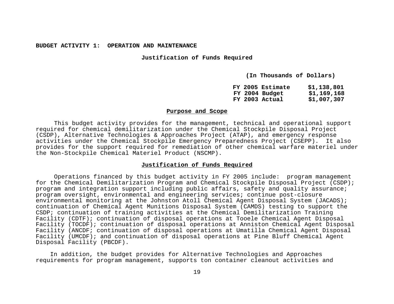**Justification of Funds Required**

**(In Thousands of Dollars)** 

| FY 2005 Estimate | \$1,138,801 |
|------------------|-------------|
| FY 2004 Budget   | \$1,169,168 |
| FY 2003 Actual   | \$1,007,307 |

#### **Purpose and Scope**

 This budget activity provides for the management, technical and operational support required for chemical demilitarization under the Chemical Stockpile Disposal Project (CSDP), Alternative Technologies & Approaches Project (ATAP), and emergency response activities under the Chemical Stockpile Emergency Preparedness Project (CSEPP). It also provides for the support required for remediation of other chemical warfare materiel under the Non-Stockpile Chemical Materiel Product (NSCMP).

# **Justification of Funds Required**

 Operations financed by this budget activity in FY 2005 include: program management for the Chemical Demilitarization Program and Chemical Stockpile Disposal Project (CSDP); program and integration support including public affairs, safety and quality assurance; program oversight, environmental and engineering services; continue post-closure environmental monitoring at the Johnston Atoll Chemical Agent Disposal System (JACADS); continuation of Chemical Agent Munitions Disposal System (CAMDS) testing to support the CSDP; continuation of training activities at the Chemical Demilitarization Training Facility (CDTF); continuation of disposal operations at Tooele Chemical Agent Disposal Facility (TOCDF); continuation of disposal operations at Anniston Chemical Agent Disposal Facility (ANCDF; continuation of disposal operations at Umatilla Chemical Agent Disposal Facility (UMCDF); and continuation of disposal operations at Pine Bluff Chemical Agent Disposal Facility (PBCDF).

 In addition, the budget provides for Alternative Technologies and Approaches requirements for program management, supports ton container cleanout activities and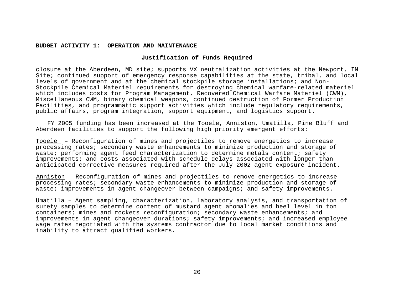# **Justification of Funds Required**

closure at the Aberdeen, MD site; supports VX neutralization activities at the Newport, IN Site; continued support of emergency response capabilities at the state, tribal, and local levels of government and at the chemical stockpile storage installations; and Non-Stockpile Chemical Materiel requirements for destroying chemical warfare-related materiel which includes costs for Program Management, Recovered Chemical Warfare Materiel (CWM), Miscellaneous CWM, binary chemical weapons, continued destruction of Former Production Facilities, and programmatic support activities which include regulatory requirements, public affairs, program integration, support equipment, and logistics support.

 FY 2005 funding has been increased at the Tooele, Anniston, Umatilla, Pine Bluff and Aberdeen facilities to support the following high priority emergent efforts:

Tooele – Reconfiguration of mines and projectiles to remove energetics to increase processing rates; secondary waste enhancements to minimize production and storage of waste; performing agent feed characterization to determine metals content; safety improvements; and costs associated with schedule delays associated with longer than anticipated corrective measures required after the July 2002 agent exposure incident.

 Anniston – Reconfiguration of mines and projectiles to remove energetics to increase processing rates; secondary waste enhancements to minimize production and storage of waste; improvements in agent changeover between campaigns; and safety improvements.

Umatilla – Agent sampling, characterization, laboratory analysis, and transportation of surety samples to determine content of mustard agent anomalies and heel level in ton containers; mines and rockets reconfiguration; secondary waste enhancements; and improvements in agent changeover durations; safety improvements; and increased employee wage rates negotiated with the systems contractor due to local market conditions and inability to attract qualified workers.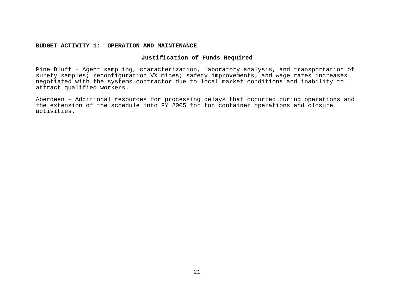# **Justification of Funds Required**

Pine Bluff – Agent sampling, characterization, laboratory analysis, and transportation of surety samples; reconfiguration VX mines; safety improvements; and wage rates increases negotiated with the systems contractor due to local market conditions and inability to attract qualified workers.

Aberdeen – Additional resources for processing delays that occurred during operations and the extension of the schedule into FY 2005 for ton container operations and closure activities.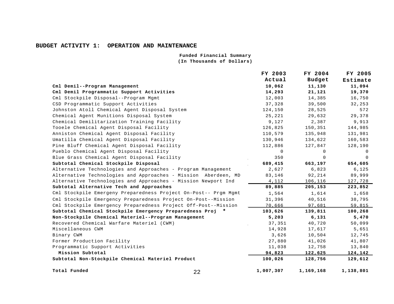**Funded Financial Summary (In Thousands of Dollars)**

|                                                                 |    | FY 2003   | FY 2004       | FY 2005   |
|-----------------------------------------------------------------|----|-----------|---------------|-----------|
|                                                                 |    | Actual    | <b>Budget</b> | Estimate  |
| Cml Demil--Program Management                                   |    | 10,062    | 11,130        | 11,094    |
| Cml Demil Programmatic Support Activities                       |    | 14,293    | 21,121        | 19,370    |
| Cml Stockpile Disposal--Program Mgmt                            |    | 12,003    | 14,385        | 16,750    |
| CSD Programmatic Support Activities                             |    | 37,328    | 39,500        | 32,253    |
| Johnston Atoll Chemical Agent Disposal System                   |    | 124,150   | 28,525        | 572       |
| Chemical Agent Munitions Disposal System                        |    | 25,221    | 29,632        | 29,378    |
| Chemical Demilitarization Training Facility                     |    | 9,127     | 2,387         | 9,913     |
| Tooele Chemical Agent Disposal Facility                         |    | 126,825   | 150,351       | 144,985   |
| Anniston Chemical Agent Disposal Facility                       |    | 110,579   | 135,948       | 131,981   |
| Umatilla Chemical Agent Disposal Facility                       |    | 130,946   | 134,622       | 160,583   |
| Pine Bluff Chemical Agent Disposal Facility                     |    | 112,886   | 127,847       | 128,190   |
| Pueblo Chemical Agent Disposal Facility                         |    | 0         | 0             | 0         |
| Blue Grass Chemical Agent Disposal Facility                     |    | 350       | 0             | $\Omega$  |
| Subtotal Chemical Stockpile Disposal                            |    | 689,415   | 663,197       | 654,605   |
| Alternative Technologies and Approaches - Program Management    |    | 2,627     | 6,823         | 6,125     |
| Alternative Technologies and Approaches - Mission Aberdeen, MD  |    | 83,146    | 92,214        | 89,999    |
| Alternative Technologies and Approaches - Mission Newport Ind   |    | 4,112     | 106,116       | 127,728   |
| Subtotal Alternative Tech and Approaches                        |    | 89,885    | 205,153       | 223,852   |
| Cml Stockpile Emergeny Preparedness Project On-Post-- Prgm Mgmt |    | 1,564     | 1,614         | 1,658     |
| Cml Stockpile Emergency Preparedness Project On-Post--Mission   |    | 31,396    | 40,516        | 38,795    |
| Cml Stockpile Emergency Preparedness Project Off-Post--Mission  |    | 70,666    | 97,681        | 59,815    |
| Subtotal Chemical Stockpile Emergency Preparedness Proj *       |    | 103,626   | 139,811       | 100,268   |
| Non-Stockpile Chemical Materiel--Program Management             |    | 5,203     | 6,131         | 5,470     |
| Recovered Chemical Warfare Materiel (CWM)                       |    | 37,351    | 40,720        | 50,099    |
| Miscellaneous CWM                                               |    | 14,928    | 17,617        | 5,651     |
| Binary CWM                                                      |    | 3,626     | 10,504        | 12,745    |
| Former Production Facility                                      |    | 27,880    | 41,026        | 41,807    |
| Programmatic Support Activities                                 |    | 11,038    | 12,758        | 13,840    |
| Mission Subtotal                                                |    | 94,823    | 122,625       | 124,142   |
| Subtotal Non-Stockpile Chemical Materiel Product                |    | 100,026   | 128,756       | 129,612   |
| Total Funded                                                    | 22 | 1,007,307 | 1,169,168     | 1,138,801 |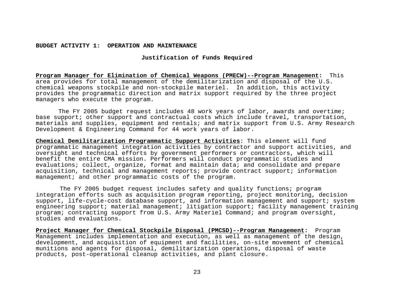**Justification of Funds Required** 

**Program Manager for Elimination of Chemical Weapons (PMECW)--Program Management:** This area provides for total management of the demilitarization and disposal of the U.S. chemical weapons stockpile and non-stockpile materiel. In addition, this activity provides the programmatic direction and matrix support required by the three project managers who execute the program.

 The FY 2005 budget request includes 48 work years of labor, awards and overtime; base support; other support and contractual costs which include travel, transportation, materials and supplies, equipment and rentals; and matrix support from U.S. Army Research Development & Engineering Command for 44 work years of labor.

**Chemical Demilitarization Programmatic Support Activities**: This element will fund programmatic management integration activities by contractor and support activities, and oversight and technical efforts by government performers or contractors, which will benefit the entire CMA mission. Performers will conduct programmatic studies and evaluations; collect, organize, format and maintain data; and consolidate and prepare acquisition, technical and management reports; provide contract support; information management; and other programmatic costs of the program.

 The FY 2005 budget request includes safety and quality functions; program integration efforts such as acquisition program reporting, project monitoring, decision support, life-cycle-cost database support, and information management and support; system engineering support; material management; litigation support; facility management training program; contracting support from U.S. Army Materiel Command; and program oversight, studies and evaluations.

**Project Manager for Chemical Stockpile Disposal (PMCSD)--Program Management:** Program Management includes implementation and execution, as well as management of the design, development, and acquisition of equipment and facilities, on-site movement of chemical munitions and agents for disposal, demilitarization operations, disposal of waste products, post-operational cleanup activities, and plant closure.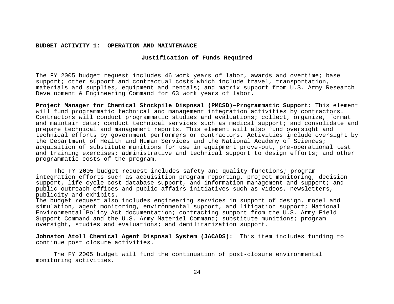# **Justification of Funds Required**

The FY 2005 budget request includes 46 work years of labor, awards and overtime; base support; other support and contractual costs which include travel, transportation, materials and supplies, equipment and rentals; and matrix support from U.S. Army Research Development & Engineering Command for 63 work years of labor.

**Project Manager for Chemical Stockpile Disposal (PMCSD)—Programmatic Support:** This element will fund programmatic technical and management integration activities by contractors. Contractors will conduct programmatic studies and evaluations; collect, organize, format and maintain data; conduct technical services such as medical support; and consolidate and prepare technical and management reports. This element will also fund oversight and technical efforts by government performers or contractors. Activities include oversight by the Department of Health and Human Services and the National Academy of Sciences; acquisition of substitute munitions for use in equipment prove-out, pre-operational test and training exercises; administrative and technical support to design efforts; and other programmatic costs of the program.

 The FY 2005 budget request includes safety and quality functions; program integration efforts such as acquisition program reporting, project monitoring, decision support, life-cycle-cost database support, and information management and support; and public outreach offices and public affairs initiatives such as videos, newsletters, publicity and exhibits.

The budget request also includes engineering services in support of design, model and simulation, agent monitoring, environmental support, and litigation support; National Environmental Policy Act documentation; contracting support from the U.S. Army Field Support Command and the U.S. Army Materiel Command; substitute munitions; program oversight, studies and evaluations; and demilitarization support.

**Johnston Atoll Chemical Agent Disposal System (JACADS):** This item includes funding to continue post closure activities.

 The FY 2005 budget will fund the continuation of post-closure environmental monitoring activities.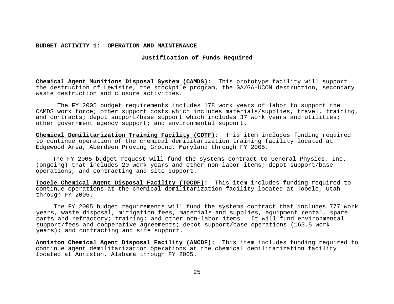# **Justification of Funds Required**

**Chemical Agent Munitions Disposal System (CAMDS):** This prototype facility will support the destruction of Lewisite, the stockpile program, the GA/GA-UCON destruction, secondary waste destruction and closure activities.

 The FY 2005 budget requirements includes 178 work years of labor to support the CAMDS work force; other support costs which includes materials/supplies, travel, training, and contracts; depot support/base support which includes 37 work years and utilities; other government agency support; and environmental support.

**Chemical Demilitarization Training Facility (CDTF):** This item includes funding required to continue operation of the chemical demilitarization training facility located at Edgewood Area, Aberdeen Proving Ground, Maryland through FY 2005.

 The FY 2005 budget request will fund the systems contract to General Physics, Inc. (ongoing) that includes 20 work years and other non-labor items; depot support/base operations, and contracting and site support.

**Tooele Chemical Agent Disposal Facility (TOCDF):** This item includes funding required to continue operations at the chemical demilitarization facility located at Tooele, Utah through FY 2005.

The FY 2005 budget requirements will fund the systems contract that includes 777 work years, waste disposal, mitigation fees, materials and supplies, equipment rental, spare parts and refractory; training; and other non-labor items. It will fund environmental support/fees and cooperative agreements; depot support/base operations (163.5 work years); and contracting and site support.

**Anniston Chemical Agent Disposal Facility (ANCDF):** This item includes funding required to continue agent demilitarization operations at the chemical demilitarization facility located at Anniston, Alabama through FY 2005.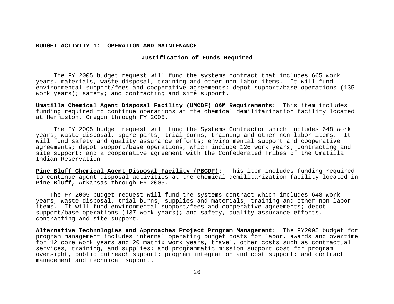# **Justification of Funds Required**

 The FY 2005 budget request will fund the systems contract that includes 665 work years, materials, waste disposal, training and other non-labor items. It will fund environmental support/fees and cooperative agreements; depot support/base operations (135 work years); safety; and contracting and site support.

**Umatilla Chemical Agent Disposal Facility (UMCDF) O&M Requirements:** This item includes funding required to continue operations at the chemical demilitarization facility located at Hermiston, Oregon through FY 2005.

 The FY 2005 budget request will fund the Systems Contractor which includes 648 work years, waste disposal, spare parts, trial burns, training and other non-labor items. It will fund safety and quality assurance efforts; environmental support and cooperative agreements; depot support/base operations, which include 126 work years; contracting and site support; and a cooperative agreement with the Confederated Tribes of the Umatilla Indian Reservation.

**Pine Bluff Chemical Agent Disposal Facility (PBCDF):** This item includes funding required to continue agent disposal activities at the chemical demilitarization facility located in Pine Bluff, Arkansas through FY 2005.

 The FY 2005 budget request will fund the systems contract which includes 648 work years, waste disposal, trial burns, supplies and materials, training and other non-labor items. It will fund environmental support/fees and cooperative agreements; depot support/base operations (137 work years); and safety, quality assurance efforts, contracting and site support.

**Alternative Technologies and Approaches Project Program Management:** The FY2005 budget for program management includes internal operating budget costs for labor, awards and overtime for 12 core work years and 20 matrix work years, travel, other costs such as contractual services, training, and supplies; and programmatic mission support cost for program oversight, public outreach support; program integration and cost support; and contract management and technical support.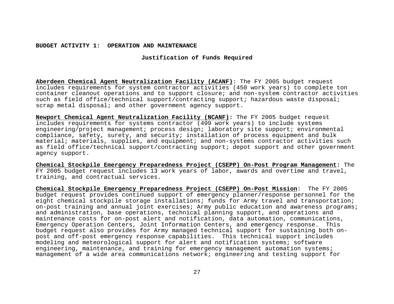# **Justification of Funds Required**

**Aberdeen Chemical Agent Neutralization Facility (ACANF)**: The FY 2005 budget request includes requirements for system contractor activities (450 work years) to complete ton container cleanout operations and to support closure; and non-system contractor activities such as field office/technical support/contracting support; hazardous waste disposal; scrap metal disposal; and other government agency support.

**Newport Chemical Agent Neutralization Facility (NCANF):** The FY 2005 budget request includes requirements for systems contractor (499 work years) to include systems engineering/project management; process design; laboratory site support; environmental compliance, safety, surety, and security; installation of process equipment and bulk material; materials, supplies, and equipment; and non-systems contractor activities such as field office/technical support/contracting support; depot support and other government agency support.

**Chemical Stockpile Emergency Preparedness Project (CSEPP) On-Post Program Management:** The FY 2005 budget request includes 13 work years of labor, awards and overtime and travel, training, and contractual services.

**Chemical Stockpile Emergency Preparedness Project (CSEPP) On-Post Mission**: The FY 2005 budget request provides continued support of emergency planner/response personnel for the eight chemical stockpile storage installations; funds for Army travel and transportation; on-post training and annual joint exercises; Army public education and awareness programs; and administration, base operations, technical planning support, and operations and maintenance costs for on-post alert and notification, data automation, communications, Emergency Operation Centers, Joint Information Centers, and emergency response. This budget request also provides for Army managed technical support for sustaining both onpost and off-post emergency response capabilities. This technical support includes modeling and meteorological support for alert and notification systems; software engineering, maintenance, and training for emergency management automation systems; management of a wide area communications network; engineering and testing support for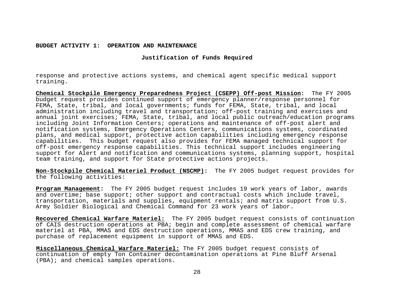**Justification of Funds Required** 

response and protective actions systems, and chemical agent specific medical support training.

**Chemical Stockpile Emergency Preparedness Project (CSEPP) Off-post Mission:** The FY 2005 budget request provides continued support of emergency planner/response personnel for FEMA, State, tribal, and local governments; funds for FEMA, State, tribal, and local administration including travel and transportation; off-post training and exercises and annual joint exercises; FEMA, State, tribal, and local public outreach/education programs including Joint Information Centers; operations and maintenance of off-post alert and notification systems, Emergency Operations Centers, communications systems, coordinated plans, and medical support, protective action capabilities including emergency response capabilities. This budget request also provides for FEMA managed technical support for off-post emergency response capabilities. This technical support includes engineering support for Alert and notification and communications systems, planning support, hospital team training, and support for State protective actions projects.

**Non-Stockpile Chemical Materiel Product (NSCMP):** The FY 2005 budget request provides for the following activities:

**Program Management:** The FY 2005 budget request includes 19 work years of labor, awards and overtime; base support; other support and contractual costs which include travel, transportation, materials and supplies, equipment rentals; and matrix support from U.S. Army Soldier Biological and Chemical Command for 23 work years of labor.

**Recovered Chemical Warfare Materiel:** The FY 2005 budget request consists of continuation of CAIS destruction operations at PBA; begin and complete assessment of chemical warfare materiel at PBA, MMAS and EDS destruction operations, MMAS and EDS crew training, and purchase of replacement equipment in support of MMAS and EDS.

**Miscellaneous Chemical Warfare Materiel:** The FY 2005 budget request consists of continuation of empty Ton Container decontamination operations at Pine Bluff Arsenal (PBA); and chemical samples operations.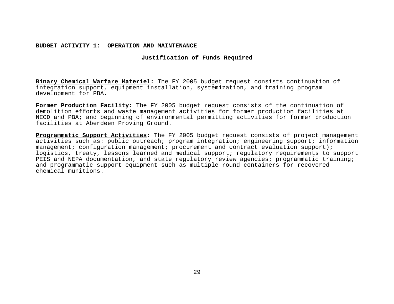# **Justification of Funds Required**

**Binary Chemical Warfare Materiel:** The FY 2005 budget request consists continuation of integration support, equipment installation, systemization, and training program development for PBA.

**Former Production Facility:** The FY 2005 budget request consists of the continuation of demolition efforts and waste management activities for former production facilities at NECD and PBA; and beginning of environmental permitting activities for former production facilities at Aberdeen Proving Ground.

**Programmatic Support Activities:** The FY 2005 budget request consists of project management activities such as: public outreach; program integration; engineering support; information management; configuration management; procurement and contract evaluation support); logistics, treaty, lessons learned and medical support; regulatory requirements to support PEIS and NEPA documentation, and state regulatory review agencies; programmatic training; and programmatic support equipment such as multiple round containers for recovered chemical munitions.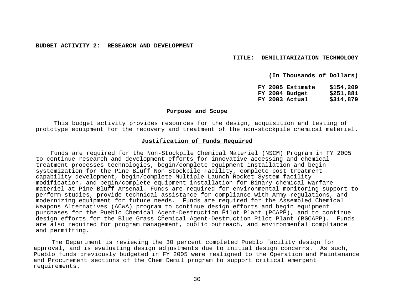**TITLE: DEMILITARIZATION TECHNOLOGY** 

**(In Thousands of Dollars)** 

**FY 2005 Estimate \$154,209 FY 2004 Budget \$251,881 FY 2003 Actual \$314,879** 

#### **Purpose and Scope**

 This budget activity provides resources for the design, acquisition and testing of prototype equipment for the recovery and treatment of the non-stockpile chemical materiel.

#### **Justification of Funds Required**

 Funds are required for the Non-Stockpile Chemical Materiel (NSCM) Program in FY 2005 to continue research and development efforts for innovative accessing and chemical treatment processes technologies, begin/complete equipment installation and begin systemization for the Pine Bluff Non-Stockpile Facility, complete post treatment capability development, begin/complete Multiple Launch Rocket System facility modification, and begin/complete equipment installation for Binary chemical warfare materiel at Pine Bluff Arsenal. Funds are required for environmental monitoring support to perform studies, provide technical assistance for compliance with Army regulations, and modernizing equipment for future needs. Funds are required for the Assembled Chemical Weapons Alternatives (ACWA) program to continue design efforts and begin equipment purchases for the Pueblo Chemical Agent-Destruction Pilot Plant (PCAPP), and to continue design efforts for the Blue Grass Chemical Agent-Destruction Pilot Plant (BGCAPP). Funds are also required for program management, public outreach, and environmental compliance and permitting.

 The Department is reviewing the 30 percent completed Pueblo facility design for approval, and is evaluating design adjustments due to initial design concerns. As such, Pueblo funds previously budgeted in FY 2005 were realigned to the Operation and Maintenance and Procurement sections of the Chem Demil program to support critical emergent requirements.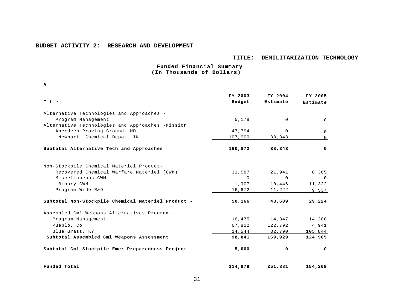#### **TITLE: DEMILITARIZATION TECHNOLOGY**

 **Funded Financial Summary (In Thousands of Dollars)**

**. R A**

|                                                    | FY 2003     | FY 2004     | FY 2005        |
|----------------------------------------------------|-------------|-------------|----------------|
| Title                                              | Budget      | Estimate    | Estimate       |
| Alternative Technologies and Approaches -          |             |             |                |
| Program Management                                 | 5,178       | $\Omega$    | $\Omega$       |
| Alternative Technologies and Approaches -Mission   |             |             |                |
| Aberdeen Proving Ground, MD                        | 47,794      | $\Omega$    | $\Omega$       |
| Newport Chemical Depot, IN                         | 107,900     | 38,343      | $\Omega$       |
| Subtotal Alternative Tech and Approaches           | 160,872     | 38,343      | 0              |
| Non-Stockpile Chemical Materiel Product-           |             |             |                |
| Recovered Chemical Warfare Materiel (CWM)          | 31,587      | 21,941      | 8,365          |
| Miscellaneous CWM                                  | $\mathbf 0$ | $\mathbf 0$ | $\overline{0}$ |
| Binary CWM                                         | 1,907       | 10,446      | 11,322         |
| Program-Wide R&D                                   | 16,672      | 11,222      | 9,537          |
| Subtotal Non-Stockpile Chemical Materiel Product - | 50,166      | 43,609      | 29,224         |
| Assembled Cml Weapons Alternatives Program -       |             |             |                |
| Program Management                                 | 16,475      | 14,347      | 14,200         |
| Pueblo, Co                                         | 67,822      | 122,792     | 4,941          |
| Blue Grass, KY                                     | 14,544      | 32,790      | 105,844        |
| Subtotal Assembled Cml Weapons Assessment          | 98,841      | 169,929     | 124,985        |
| Subtotal Cml Stockpile Emer Preparedness Project   | 5,000       | 0           | $\mathbf 0$    |
| Funded Total                                       | 314,879     | 251,881     | 154,209        |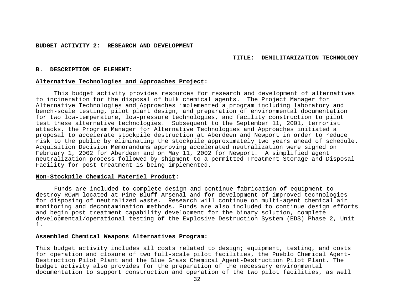#### **TITLE: DEMILITARIZATION TECHNOLOGY**

#### **B. DESCRIPTION OF ELEMENT:**

#### **Alternative Technologies and Approaches Project:**

 This budget activity provides resources for research and development of alternatives to incineration for the disposal of bulk chemical agents. The Project Manager for Alternative Technologies and Approaches implemented a program including laboratory and bench-scale testing, pilot plant design, and preparation of environmental documentation for two low-temperature, low-pressure technologies, and facility construction to pilot test these alternative technologies. Subsequent to the September 11, 2001, terrorist attacks, the Program Manager for Alternative Technologies and Approaches initiated a proposal to accelerate stockpile destruction at Aberdeen and Newport in order to reduce risk to the public by eliminating the stockpile approximately two years ahead of schedule. Acquisition Decision Memorandums approving accelerated neutralization were signed on February 1, 2002 for Aberdeen and on May 11, 2002 for Newport. A simplified agent neutralization process followed by shipment to a permitted Treatment Storage and Disposal Facility for post-treatment is being implemented.

## **Non-Stockpile Chemical Materiel Product:**

 Funds are included to complete design and continue fabrication of equipment to destroy RCWM located at Pine Bluff Arsenal and for development of improved technologies for disposing of neutralized waste. Research will continue on multi-agent chemical air monitoring and decontamination methods. Funds are also included to continue design efforts and begin post treatment capability development for the binary solution, complete developmental/operational testing of the Explosive Destruction System (EDS) Phase 2, Unit 1.

# **Assembled Chemical Weapons Alternatives Program:**

This budget activity includes all costs related to design; equipment, testing, and costs for operation and closure of two full-scale pilot facilities, the Pueblo Chemical Agent-Destruction Pilot Plant and the Blue Grass Chemical Agent-Destruction Pilot Plant. The budget activity also provides for the preparation of the necessary environmental documentation to support construction and operation of the two pilot facilities, as well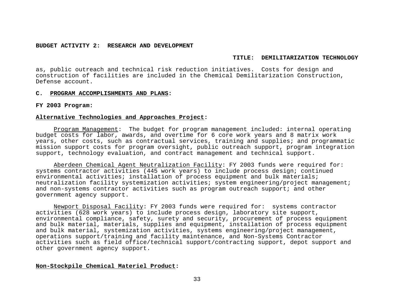## **TITLE: DEMILITARIZATION TECHNOLOGY**

as, public outreach and technical risk reduction initiatives. Costs for design and construction of facilities are included in the Chemical Demilitarization Construction, Defense account.

## **C. PROGRAM ACCOMPLISHMENTS AND PLANS:**

### **FY 2003 Program:**

# **Alternative Technologies and Approaches Project:**

Program Management: The budget for program management included: internal operating budget costs for labor, awards, and overtime for 6 core work years and 8 matrix work years, other costs, such as contractual services, training and supplies; and programmatic mission support costs for program oversight, public outreach support, program integration support, technology evaluation, and contract management and technical support.

Aberdeen Chemical Agent Neutralization Facility: FY 2003 funds were required for: systems contractor activities (445 work years) to include process design; continued environmental activities; installation of process equipment and bulk materials; neutralization facility systemization activities; system engineering/project management; and non-systems contractor activities such as program outreach support; and other government agency support.

Newport Disposal Facility: FY 2003 funds were required for: systems contractor activities (628 work years) to include process design, laboratory site support, environmental compliance, safety, surety and security, procurement of process equipment and bulk material, materials, supplies and equipment, installation of process equipment and bulk material, systemization activities, systems engineering/project management, operations support/training and facility maintenance, and Non-Systems Contractor activities such as field office/technical support/contracting support, depot support and other government agency support.

# **Non-Stockpile Chemical Materiel Product:**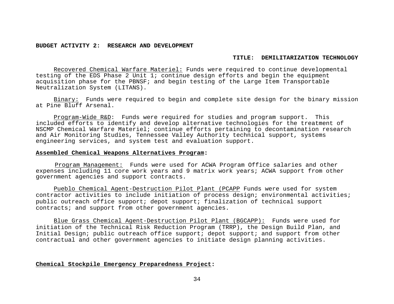#### **TITLE: DEMILITARIZATION TECHNOLOGY**

Recovered Chemical Warfare Materiel: Funds were required to continue developmental testing of the EDS Phase 2 Unit 1; continue design efforts and begin the equipment acquisition phase for the PBNSF; and begin testing of the Large Item Transportable Neutralization System (LITANS).

Binary: Funds were required to begin and complete site design for the binary mission at Pine Bluff Arsenal.

Program-Wide R&D: Funds were required for studies and program support. This included efforts to identify and develop alternative technologies for the treatment of NSCMP Chemical Warfare Materiel; continue efforts pertaining to decontamination research and Air Monitoring Studies, Tennessee Valley Authority technical support, systems engineering services, and system test and evaluation support.

# **Assembled Chemical Weapons Alternatives Program:**

Program Management: Funds were used for ACWA Program Office salaries and other expenses including 11 core work years and 9 matrix work years; ACWA support from other government agencies and support contracts.

Pueblo Chemical Agent-Destruction Pilot Plant (PCAPP Funds were used for system contractor activities to include initiation of process design; environmental activities; public outreach office support; depot support; finalization of technical support contracts; and support from other government agencies.

Blue Grass Chemical Agent-Destruction Pilot Plant (BGCAPP): Funds were used for initiation of the Technical Risk Reduction Program (TRRP), the Design Build Plan, and Initial Design; public outreach office support; depot support; and support from other contractual and other government agencies to initiate design planning activities.

## **Chemical Stockpile Emergency Preparedness Project:**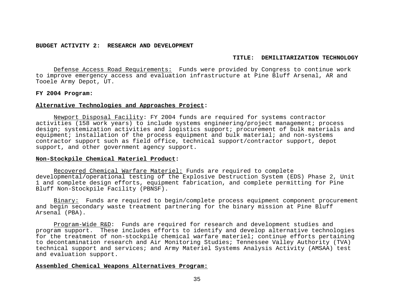#### **TITLE: DEMILITARIZATION TECHNOLOGY**

Defense Access Road Requirements: Funds were provided by Congress to continue work to improve emergency access and evaluation infrastructure at Pine Bluff Arsenal, AR and Tooele Army Depot, UT.

#### **FY 2004 Program:**

# **Alternative Technologies and Approaches Project:**

Newport Disposal Facility: FY 2004 funds are required for systems contractor activities (158 work years) to include systems engineering/project management; process design; systemization activities and logistics support; procurement of bulk materials and equipment; installation of the process equipment and bulk material; and non-systems contractor support such as field office, technical support/contractor support, depot support, and other government agency support.

#### **Non-Stockpile Chemical Materiel Product:**

Recovered Chemical Warfare Materiel: Funds are required to complete developmental/operational testing of the Explosive Destruction System (EDS) Phase 2, Unit 1 and complete design efforts, equipment fabrication, and complete permitting for Pine Bluff Non-Stockpile Facility (PBNSF).

Binary: Funds are required to begin/complete process equipment component procurement and begin secondary waste treatment partnering for the binary mission at Pine Bluff Arsenal (PBA).

Program-Wide R&D: Funds are required for research and development studies and program support. These includes efforts to identify and develop alternative technologies for the treatment of non-stockpile chemical warfare materiel; continue efforts pertaining to decontamination research and Air Monitoring Studies; Tennessee Valley Authority (TVA) technical support and services; and Army Materiel Systems Analysis Activity (AMSAA) test and evaluation support.

# **Assembled Chemical Weapons Alternatives Program:**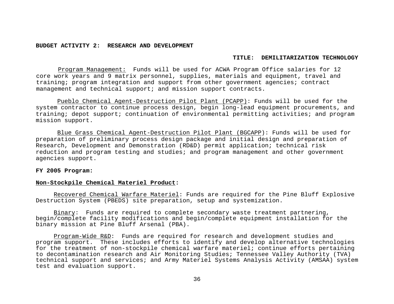#### **TITLE: DEMILITARIZATION TECHNOLOGY**

Program Management: Funds will be used for ACWA Program Office salaries for 12 core work years and 9 matrix personnel, supplies, materials and equipment, travel and training; program integration and support from other government agencies; contract management and technical support; and mission support contracts.

Pueblo Chemical Agent-Destruction Pilot Plant (PCAPP): Funds will be used for the system contractor to continue process design, begin long-lead equipment procurements, and training; depot support; continuation of environmental permitting activities; and program mission support.

Blue Grass Chemical Agent-Destruction Pilot Plant (BGCAPP): Funds will be used for preparation of preliminary process design package and initial design and preparation of Research, Development and Demonstration (RD&D) permit application; technical risk reduction and program testing and studies; and program management and other government agencies support.

### **FY 2005 Program:**

## **Non-Stockpile Chemical Materiel Product:**

Recovered Chemical Warfare Materiel: Funds are required for the Pine Bluff Explosive Destruction System (PBEDS) site preparation, setup and systemization.

Binary: Funds are required to complete secondary waste treatment partnering, begin/complete facility modifications and begin/complete equipment installation for the binary mission at Pine Bluff Arsenal (PBA).

Program-Wide R&D: Funds are required for research and development studies and program support. These includes efforts to identify and develop alternative technologies for the treatment of non-stockpile chemical warfare materiel; continue efforts pertaining to decontamination research and Air Monitoring Studies; Tennessee Valley Authority (TVA) technical support and services; and Army Materiel Systems Analysis Activity (AMSAA) system test and evaluation support.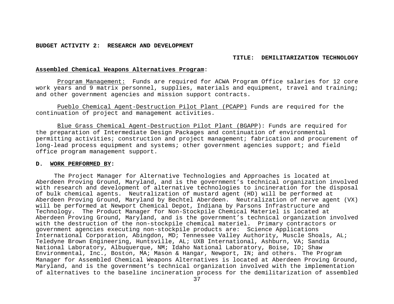#### **TITLE: DEMILITARIZATION TECHNOLOGY**

### **Assembled Chemical Weapons Alternatives Program**:

Program Management: Funds are required for ACWA Program Office salaries for 12 core work years and 9 matrix personnel, supplies, materials and equipment, travel and training; and other government agencies and mission support contracts.

Pueblo Chemical Agent-Destruction Pilot Plant (PCAPP) Funds are required for the continuation of project and management activities.

Blue Grass Chemical Agent-Destruction Pilot Plant (BGAPP): Funds are required for the preparation of Intermediate Design Packages and continuation of environmental permitting activities; construction and project management; fabrication and procurement of long-lead process equipment and systems; other government agencies support; and field office program management support.

#### **D. WORK PERFORMED BY:**

 The Project Manager for Alternative Technologies and Approaches is located at Aberdeen Proving Ground, Maryland, and is the government's technical organization involved with research and development of alternative technologies to incineration for the disposal of bulk chemical agents. Neutralization of mustard agent (HD) will be performed at Aberdeen Proving Ground, Maryland by Bechtel Aberdeen. Neutralization of nerve agent (VX) will be performed at Newport Chemical Depot, Indiana by Parsons Infrastructure and Technology. The Product Manager for Non-Stockpile Chemical Materiel is located at Aberdeen Proving Ground, Maryland, and is the government's technical organization involved with the destruction of the non-stockpile chemical materiel. Primary contractors or government agencies executing non-stockpile products are: Science Applications International Corporation, Abingdon, MD; Tennessee Valley Authority, Muscle Shoals, AL; Teledyne Brown Engineering, Huntsville, AL; UXB International, Ashburn, VA; Sandia National Laboratory, Albuquerque, NM; Idaho National Laboratory, Boise, ID; Shaw Environmental, Inc., Boston, MA; Mason & Hangar, Newport, IN; and others. The Program Manager for Assembled Chemical Weapons Alternatives is located at Aberdeen Proving Ground, Maryland, and is the government's technical organization involved with the implementation of alternatives to the baseline incineration process for the demilitarization of assembled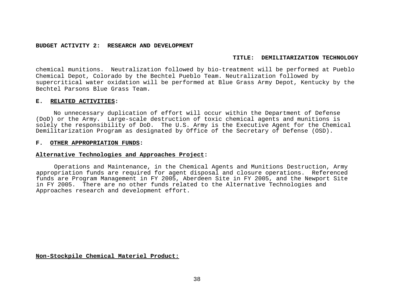## **TITLE: DEMILITARIZATION TECHNOLOGY**

chemical munitions. Neutralization followed by bio-treatment will be performed at Pueblo Chemical Depot, Colorado by the Bechtel Pueblo Team. Neutralization followed by supercritical water oxidation will be performed at Blue Grass Army Depot, Kentucky by the Bechtel Parsons Blue Grass Team.

## **E. RELATED ACTIVITIES:**

No unnecessary duplication of effort will occur within the Department of Defense (DoD) or the Army. Large-scale destruction of toxic chemical agents and munitions is solely the responsibility of DoD. The U.S. Army is the Executive Agent for the Chemical Demilitarization Program as designated by Office of the Secretary of Defense (OSD).

## **F. OTHER APPROPRIATION FUNDS:**

# **Alternative Technologies and Approaches Project:**

 Operations and Maintenance, in the Chemical Agents and Munitions Destruction, Army appropriation funds are required for agent disposal and closure operations. Referenced funds are Program Management in FY 2005, Aberdeen Site in FY 2005, and the Newport Site in FY 2005. There are no other funds related to the Alternative Technologies and Approaches research and development effort.

**Non-Stockpile Chemical Materiel Product:**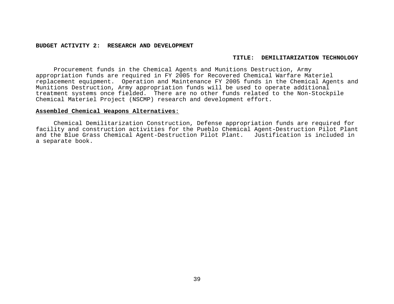#### **TITLE: DEMILITARIZATION TECHNOLOGY**

Procurement funds in the Chemical Agents and Munitions Destruction, Army appropriation funds are required in FY 2005 for Recovered Chemical Warfare Materiel replacement equipment. Operation and Maintenance FY 2005 funds in the Chemical Agents and Munitions Destruction, Army appropriation funds will be used to operate additional treatment systems once fielded. There are no other funds related to the Non-Stockpile Chemical Materiel Project (NSCMP) research and development effort.

## **Assembled Chemical Weapons Alternatives**:

Chemical Demilitarization Construction, Defense appropriation funds are required for facility and construction activities for the Pueblo Chemical Agent-Destruction Pilot Plant and the Blue Grass Chemical Agent-Destruction Pilot Plant. Justification is included in a separate book.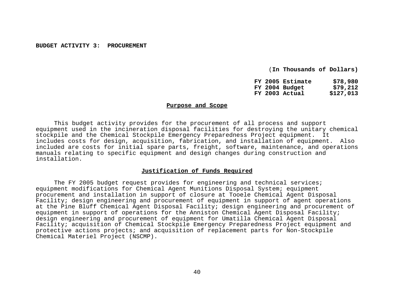(**In Thousands of Dollars)** 

| FY 2005 Estimate | \$78,980  |
|------------------|-----------|
| FY 2004 Budget   | \$79,212  |
| FY 2003 Actual   | \$127,013 |

## **Purpose and Scope**

 This budget activity provides for the procurement of all process and support equipment used in the incineration disposal facilities for destroying the unitary chemical stockpile and the Chemical Stockpile Emergency Preparedness Project equipment. It includes costs for design, acquisition, fabrication, and installation of equipment. Also included are costs for initial spare parts, freight, software, maintenance, and operations manuals relating to specific equipment and design changes during construction and installation.

## **Justification of Funds Required**

 The FY 2005 budget request provides for engineering and technical services; equipment modifications for Chemical Agent Munitions Disposal System; equipment procurement and installation in support of closure at Tooele Chemical Agent Disposal Facility; design engineering and procurement of equipment in support of agent operations at the Pine Bluff Chemical Agent Disposal Facility; design engineering and procurement of equipment in support of operations for the Anniston Chemical Agent Disposal Facility; design engineering and procurement of equipment for Umatilla Chemical Agent Disposal Facility; acquisition of Chemical Stockpile Emergency Preparedness Project equipment and protective actions projects; and acquisition of replacement parts for Non-Stockpile Chemical Materiel Project (NSCMP).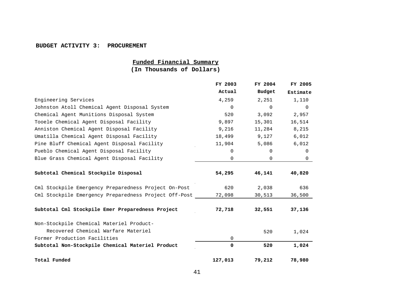#### **BUDGET ACTIVITY 3: PROCUREMENT**

# **Funded Financial Summary**

**(In Thousands of Dollars)**

|                                                       | FY 2003  | FY 2004  | FY 2005  |
|-------------------------------------------------------|----------|----------|----------|
|                                                       | Actual   | Budget   | Estimate |
| Engineering Services                                  | 4,259    | 2,251    | 1,110    |
| Johnston Atoll Chemical Agent Disposal System         | $\Omega$ | $\Omega$ | $\Omega$ |
| Chemical Agent Munitions Disposal System              | 520      | 3,092    | 2,957    |
| Tooele Chemical Agent Disposal Facility               | 9,897    | 15,301   | 16,514   |
| Anniston Chemical Agent Disposal Facility             | 9,216    | 11,284   | 8,215    |
| Umatilla Chemical Agent Disposal Facility             | 18,499   | 9,127    | 6,012    |
| Pine Bluff Chemical Agent Disposal Facility           | 11,904   | 5,086    | 6,012    |
| Pueblo Chemical Agent Disposal Facility               | 0        | $\Omega$ | 0        |
| Blue Grass Chemical Agent Disposal Facility           | 0        | 0        | $\Omega$ |
| Subtotal Chemical Stockpile Disposal                  | 54,295   | 46,141   | 40,820   |
| Cml Stockpile Emergency Preparedness Project On-Post  | 620      | 2,038    | 636      |
| Cml Stockpile Emergency Preparedness Project Off-Post | 72,098   | 30,513   | 36,500   |
| Subtotal Cml Stockpile Emer Preparedness Project      | 72,718   | 32,551   | 37,136   |
| Non-Stockpile Chemical Materiel Product-              |          |          |          |
| Recovered Chemical Warfare Materiel                   |          | 520      | 1,024    |
| Former Production Facilities                          | 0        |          |          |
| Subtotal Non-Stockpile Chemical Materiel Product      | 0        | 520      | 1,024    |
| Total Funded                                          | 127,013  | 79,212   | 78,980   |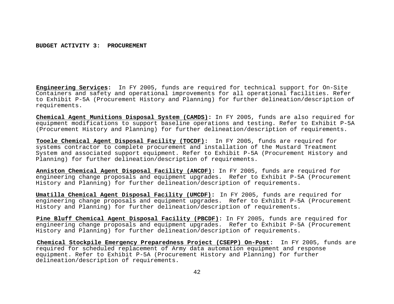**Engineering Services:** In FY 2005, funds are required for technical support for On-Site Containers and safety and operational improvements for all operational facilities. Refer to Exhibit P-5A (Procurement History and Planning) for further delineation/description of requirements.

**Chemical Agent Munitions Disposal System (CAMDS):** In FY 2005, funds are also required for equipment modifications to support baseline operations and testing. Refer to Exhibit P-5A (Procurement History and Planning) for further delineation/description of requirements.

**Tooele Chemical Agent Disposal Facility (TOCDF):** In FY 2005, funds are required for systems contractor to complete procurement and installation of the Mustard Treatment System and associated support equipment. Refer to Exhibit P-5A (Procurement History and Planning) for further delineation/description of requirements.

**Anniston Chemical Agent Disposal Facility (ANCDF):** In FY 2005, funds are required for engineering change proposals and equipment upgrades. Refer to Exhibit P-5A (Procurement History and Planning) for further delineation/description of requirements.

**Umatilla Chemical Agent Disposal Facility (UMCDF):** In FY 2005, funds are required for engineering change proposals and equipment upgrades. Refer to Exhibit P-5A (Procurement History and Planning) for further delineation/description of requirements.

**Pine Bluff Chemical Agent Disposal Facility (PBCDF):** In FY 2005, funds are required for engineering change proposals and equipment upgrades. Refer to Exhibit P-5A (Procurement History and Planning) for further delineation/description of requirements.

 **Chemical Stockpile Emergency Preparedness Project (CSEPP) On-Post:** In FY 2005, funds are required for scheduled replacement of Army data automation equipment and response equipment. Refer to Exhibit P-5A (Procurement History and Planning) for further delineation/description of requirements.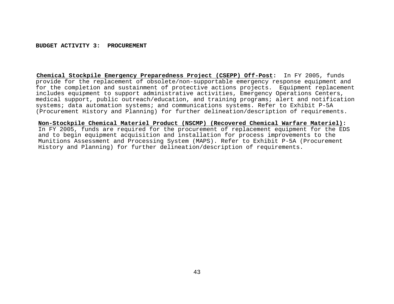**Chemical Stockpile Emergency Preparedness Project (CSEPP) Off-Post:** In FY 2005, funds provide for the replacement of obsolete/non-supportable emergency response equipment and for the completion and sustainment of protective actions projects. Equipment replacement includes equipment to support administrative activities, Emergency Operations Centers, medical support, public outreach/education, and training programs; alert and notification systems; data automation systems; and communications systems. Refer to Exhibit P-5A (Procurement History and Planning) for further delineation/description of requirements.

**Non-Stockpile Chemical Materiel Product (NSCMP) (Recovered Chemical Warfare Materiel):** In FY 2005, funds are required for the procurement of replacement equipment for the EDS and to begin equipment acquisition and installation for process improvements to the Munitions Assessment and Processing System (MAPS). Refer to Exhibit P-5A (Procurement History and Planning) for further delineation/description of requirements.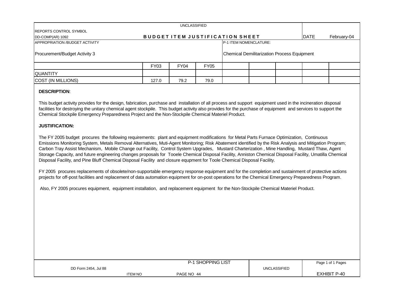| <b>REPORTS CONTROL SYMBOL</b><br>DD-COMP(AR) 1092 |             |      |             | <b>BUDGET ITEM JUSTIFICATION SHEET</b> |  | <b>DATE</b>                                 | February-04 |  |  |  |
|---------------------------------------------------|-------------|------|-------------|----------------------------------------|--|---------------------------------------------|-------------|--|--|--|
| APPROPRIATION / BUDGET ACTIVITY                   |             |      |             |                                        |  |                                             |             |  |  |  |
| Procurement/Budget Activity 3                     |             |      |             |                                        |  | Chemical Demilitarization Process Equipment |             |  |  |  |
|                                                   | <b>FY03</b> | FY04 | <b>FY05</b> |                                        |  |                                             |             |  |  |  |
| <b>IQUANTITY</b>                                  |             |      |             |                                        |  |                                             |             |  |  |  |
| COST (IN MILLIONS)                                | 127.0       | 79.2 | 79.0        |                                        |  |                                             |             |  |  |  |

# **DESCRIPTION**:

This budget activity provides for the design, fabrication, purchase and installation of all process and support equipment used in the incineration disposal facilities for destroying the unitary chemical agent stockpile. This budget activity also provides for the purchase of equipment and services to support the Chemical Stockpile Emergency Preparedness Project and the Non-Stockpile Chemical Materiel Product.

# **JUSTIFICATION:**

The FY 2005 budget procures the following requirements: plant and equipment modifications for Metal Parts Furnace Optimization, Continuous Emissions Monitoring System, Metals Removal Alternatives, Muti-Agent Monitoring; Risk Abatement identified by the Risk Analysis and Mitigation Program; Carbon Tray Assist Mechanism, Mobile Change out Facility, Control System Upgrades, Mustard Charterization , Mine Handling, Mustard Thaw, Agent Storage Capacity, and future engineering changes proposals for Tooele Chemical Disposal Facility, Anniston Chemical Disposal Facility, Umatilla Chemical Disposal Facility, and Pine Bluff Chemical Disposal Facility and closure equpment for Toole Chemical Disposal Facility.

FY 2005 procures replacements of obsolete/non-supportable emergency response equipment and for the completion and sustainment of protective actions projects for off-post facilities and replacement of data automation equipment for on-post operations for the Chemical Emergency Preparedness Program.

Also, FY 2005 procures equipment, equipment installation, and replacement equipment for the Non-Stockpile Chemical Materiel Product.

|                      |                | <b>P-1 SHOPPING LIST</b> |              | Page 1 of 1 Pages   |
|----------------------|----------------|--------------------------|--------------|---------------------|
| DD Form 2454, Jul 88 |                |                          | UNCLASSIFIED |                     |
|                      | <b>ITEM NO</b> | PAGE NO 44               |              | <b>EXHIBIT P-40</b> |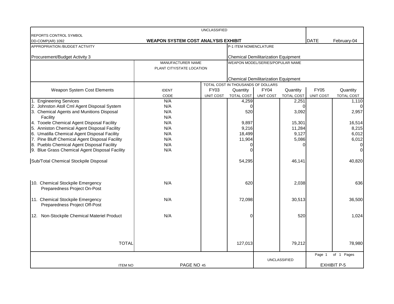|                                                                   |                                            | <b>UNCLASSIFIED</b> |                                                                                |             |                     |                  |                    |  |  |  |
|-------------------------------------------------------------------|--------------------------------------------|---------------------|--------------------------------------------------------------------------------|-------------|---------------------|------------------|--------------------|--|--|--|
| <b>REPORTS CONTROL SYMBOL</b>                                     |                                            |                     |                                                                                |             |                     |                  |                    |  |  |  |
| DD-COMP(AR) 1092                                                  | <b>WEAPON SYSTEM COST ANALYSIS EXHIBIT</b> |                     |                                                                                |             |                     | <b>DATE</b>      | February-04        |  |  |  |
| APPROPRIATION /BUDGET ACTIVITY                                    |                                            |                     | P-1 ITEM NOMENCLATURE                                                          |             |                     |                  |                    |  |  |  |
|                                                                   |                                            |                     |                                                                                |             |                     |                  |                    |  |  |  |
| Procurement/Budget Activity 3                                     | MANUFACTURER NAME                          |                     | <b>Chemical Demilitarization Equipment</b><br>WEAPON MODEL/SERIES/POPULAR NAME |             |                     |                  |                    |  |  |  |
|                                                                   | PLANT CITY/STATE LOCATION                  |                     |                                                                                |             |                     |                  |                    |  |  |  |
|                                                                   |                                            |                     |                                                                                |             |                     |                  |                    |  |  |  |
|                                                                   |                                            |                     | <b>Chemical Demilitarization Equipment</b>                                     |             |                     |                  |                    |  |  |  |
|                                                                   |                                            |                     | TOTAL COST IN THOUSANDS OF DOLLARS                                             |             |                     |                  |                    |  |  |  |
| Weapon System Cost Elements                                       | <b>IDENT</b>                               | FY03                | Quantity                                                                       | <b>FY04</b> | Quantity            | <b>FY05</b>      | Quantity           |  |  |  |
|                                                                   | CODE                                       | <b>UNIT COST</b>    | TOTAL COST                                                                     | UNIT COST   | TOTAL COST          | <b>UNIT COST</b> | TOTAL COST         |  |  |  |
| 1. Engineering Services                                           | N/A                                        |                     | 4,259                                                                          |             | 2,251               |                  | 1,110              |  |  |  |
| 2. Johnston Atoll Cml Agent Disposal System                       | N/A                                        |                     | $\Omega$                                                                       |             | 0                   |                  | $\Omega$           |  |  |  |
| 3. Chemical Agents and Munitions Disposal                         | N/A                                        |                     | 520                                                                            |             | 3,092               |                  | 2,957              |  |  |  |
| Facility                                                          | N/A                                        |                     |                                                                                |             |                     |                  |                    |  |  |  |
| 4. Tooele Chemical Agent Disposal Facility                        | N/A                                        |                     | 9,897                                                                          |             | 15,301              |                  | 16,514             |  |  |  |
| 5. Anniston Chemical Agent Disposal Facility                      | N/A                                        |                     | 9,216                                                                          |             | 11,284              |                  | 8,215              |  |  |  |
| 6. Umatilla Chemical Agent Disposal Facility                      | N/A                                        |                     | 18,499                                                                         |             | 9,127               |                  | 6,012              |  |  |  |
| 7. Pine Bluff Chemical Agent Disposal Facility                    | N/A                                        |                     | 11,904                                                                         |             | 5,086               |                  | 6,012              |  |  |  |
| 8. Pueblo Chemical Agent Disposal Facility                        | N/A                                        |                     | 0                                                                              |             | U                   |                  | 0                  |  |  |  |
| 9. Blue Grass Chemical Agent Disposal Facility                    | N/A                                        |                     | $\Omega$                                                                       |             |                     |                  | $\Omega$           |  |  |  |
| Sub/Total Chemical Stockpile Disposal                             |                                            |                     | 54,295                                                                         |             | 46,141              |                  | 40,820             |  |  |  |
| 10. Chemical Stockpile Emergency<br>Preparedness Project On-Post  | N/A                                        |                     | 620                                                                            |             | 2,038               |                  | 636                |  |  |  |
| 11. Chemical Stockpile Emergency<br>Preparedness Project Off-Post | N/A                                        |                     | 72,098                                                                         |             | 30,513              |                  | 36,500             |  |  |  |
| 12. Non-Stockpile Chemical Materiel Product                       | N/A                                        |                     | 0                                                                              |             | 520                 |                  | 1,024              |  |  |  |
| <b>TOTAL</b>                                                      |                                            |                     | 127,013                                                                        |             | 79,212              |                  | 78,980             |  |  |  |
|                                                                   |                                            |                     |                                                                                |             |                     | Page 1           | of 1 Pages         |  |  |  |
| <b>ITEM NO</b>                                                    | PAGE NO 45                                 |                     |                                                                                |             | <b>UNCLASSIFIED</b> |                  | <b>EXHIBIT P-5</b> |  |  |  |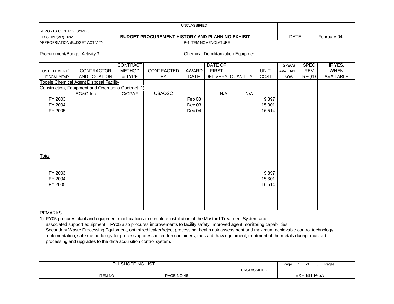| <b>UNCLASSIFIED</b>           |                                                                                                                                            |                   |                                                        |                   |                 |                                            |             |                        |             |                  |  |
|-------------------------------|--------------------------------------------------------------------------------------------------------------------------------------------|-------------------|--------------------------------------------------------|-------------------|-----------------|--------------------------------------------|-------------|------------------------|-------------|------------------|--|
| REPORTS CONTROL SYMBOL        |                                                                                                                                            |                   |                                                        |                   |                 |                                            |             |                        |             |                  |  |
| DD-COMP(AR) 1092              |                                                                                                                                            |                   | <b>BUDGET PROCUREMENT HISTORY AND PLANNING EXHIBIT</b> |                   |                 |                                            |             | <b>DATE</b>            |             | February-04      |  |
|                               | APPROPRIATION /BUDGET ACTIVITY<br>P-1 ITEM NOMENCLATURE                                                                                    |                   |                                                        |                   |                 |                                            |             |                        |             |                  |  |
| Procurement/Budget Activity 3 |                                                                                                                                            |                   |                                                        |                   |                 | <b>Chemical Demilitarization Equipment</b> |             |                        |             |                  |  |
|                               |                                                                                                                                            | <b>CONTRACT</b>   |                                                        |                   | <b>DATE OF</b>  |                                            |             | <b>SPECS</b>           | <b>SPEC</b> | IF YES,          |  |
| <b>COST ELEMENT/</b>          | <b>CONTRACTOR</b>                                                                                                                          | <b>METHOD</b>     | CONTRACTED                                             | <b>AWARD</b>      | <b>FIRST</b>    |                                            | <b>UNIT</b> | <b>AVAILABLE</b>       | <b>REV</b>  | <b>WHEN</b>      |  |
| <b>FISCAL YEAR</b>            | AND LOCATION                                                                                                                               | & TYPE            | BY                                                     | <b>DATE</b>       | <b>DELIVERY</b> | <b>QUANTITY</b>                            | COST        | <b>NOW</b>             | REQ'D       | <b>AVAILABLE</b> |  |
|                               | Tooele Chemical Agent Disposal Facility                                                                                                    |                   |                                                        |                   |                 |                                            |             |                        |             |                  |  |
|                               | Construction, Equipment and Operations Contract 1)                                                                                         |                   |                                                        |                   |                 |                                            |             |                        |             |                  |  |
|                               | EG&G Inc.                                                                                                                                  | C/CPAF            | <b>USAOSC</b>                                          |                   | N/A             | N/A                                        |             |                        |             |                  |  |
| FY 2003                       |                                                                                                                                            |                   |                                                        | Feb <sub>03</sub> |                 |                                            | 9,897       |                        |             |                  |  |
| FY 2004                       |                                                                                                                                            |                   |                                                        | Dec 03            |                 |                                            | 15,301      |                        |             |                  |  |
| FY 2005                       |                                                                                                                                            |                   |                                                        | Dec 04            |                 |                                            | 16,514      |                        |             |                  |  |
|                               |                                                                                                                                            |                   |                                                        |                   |                 |                                            |             |                        |             |                  |  |
|                               |                                                                                                                                            |                   |                                                        |                   |                 |                                            |             |                        |             |                  |  |
|                               |                                                                                                                                            |                   |                                                        |                   |                 |                                            |             |                        |             |                  |  |
|                               |                                                                                                                                            |                   |                                                        |                   |                 |                                            |             |                        |             |                  |  |
|                               |                                                                                                                                            |                   |                                                        |                   |                 |                                            |             |                        |             |                  |  |
|                               |                                                                                                                                            |                   |                                                        |                   |                 |                                            |             |                        |             |                  |  |
|                               |                                                                                                                                            |                   |                                                        |                   |                 |                                            |             |                        |             |                  |  |
| Total                         |                                                                                                                                            |                   |                                                        |                   |                 |                                            |             |                        |             |                  |  |
|                               |                                                                                                                                            |                   |                                                        |                   |                 |                                            |             |                        |             |                  |  |
|                               |                                                                                                                                            |                   |                                                        |                   |                 |                                            |             |                        |             |                  |  |
| FY 2003                       |                                                                                                                                            |                   |                                                        |                   |                 |                                            | 9,897       |                        |             |                  |  |
| FY 2004                       |                                                                                                                                            |                   |                                                        |                   |                 |                                            | 15,301      |                        |             |                  |  |
| FY 2005                       |                                                                                                                                            |                   |                                                        |                   |                 |                                            | 16,514      |                        |             |                  |  |
|                               |                                                                                                                                            |                   |                                                        |                   |                 |                                            |             |                        |             |                  |  |
|                               |                                                                                                                                            |                   |                                                        |                   |                 |                                            |             |                        |             |                  |  |
|                               |                                                                                                                                            |                   |                                                        |                   |                 |                                            |             |                        |             |                  |  |
|                               |                                                                                                                                            |                   |                                                        |                   |                 |                                            |             |                        |             |                  |  |
| <b>REMARKS</b>                |                                                                                                                                            |                   |                                                        |                   |                 |                                            |             |                        |             |                  |  |
|                               | 1) FY05 procures plant and equipment modifications to complete installation of the Mustard Treatment System and                            |                   |                                                        |                   |                 |                                            |             |                        |             |                  |  |
|                               | associated support equipment. FY05 also procures improvements to facility safety, improved agent monitoring capabilities,                  |                   |                                                        |                   |                 |                                            |             |                        |             |                  |  |
|                               | Secondary Waste Processing Equipment, optimized leaker/reject processing, health risk assessment and maximum achievable control technology |                   |                                                        |                   |                 |                                            |             |                        |             |                  |  |
|                               | implementation, safe methodology for processing pressurized ton containers, mustard thaw equipment, treatment of the metals during mustard |                   |                                                        |                   |                 |                                            |             |                        |             |                  |  |
|                               | processing and upgrades to the data acquisition control system.                                                                            |                   |                                                        |                   |                 |                                            |             |                        |             |                  |  |
|                               |                                                                                                                                            |                   |                                                        |                   |                 |                                            |             |                        |             |                  |  |
|                               |                                                                                                                                            |                   |                                                        |                   |                 |                                            |             |                        |             |                  |  |
|                               |                                                                                                                                            |                   |                                                        |                   |                 |                                            |             |                        |             |                  |  |
|                               |                                                                                                                                            | P-1 SHOPPING LIST |                                                        |                   |                 |                                            |             | Page<br>$\overline{1}$ | 5<br>of     | Pages            |  |
|                               |                                                                                                                                            |                   |                                                        |                   |                 | <b>UNCLASSIFIED</b>                        |             |                        |             |                  |  |
| <b>ITEM NO</b><br>PAGE NO 46  |                                                                                                                                            |                   |                                                        |                   |                 |                                            |             | <b>EXHIBIT P-5A</b>    |             |                  |  |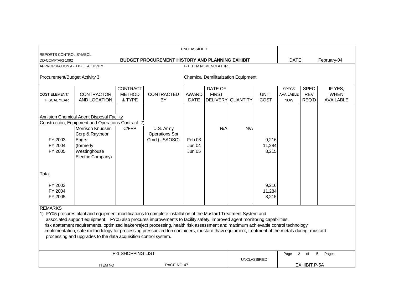| <b>UNCLASSIFIED</b>                                                                                                                                                                                                                                                                                                                                                                                                                                                                                                                                                                                                  |                                                                                                                                                                                                           |                                            |                                                    |                                              |                                |                                            |                          |                                                |                                    |                                            |
|----------------------------------------------------------------------------------------------------------------------------------------------------------------------------------------------------------------------------------------------------------------------------------------------------------------------------------------------------------------------------------------------------------------------------------------------------------------------------------------------------------------------------------------------------------------------------------------------------------------------|-----------------------------------------------------------------------------------------------------------------------------------------------------------------------------------------------------------|--------------------------------------------|----------------------------------------------------|----------------------------------------------|--------------------------------|--------------------------------------------|--------------------------|------------------------------------------------|------------------------------------|--------------------------------------------|
| <b>REPORTS CONTROL SYMBOL</b><br>BUDGET PROCUREMENT HISTORY AND PLANNING EXHIBIT<br>DD-COMP(AR) 1092                                                                                                                                                                                                                                                                                                                                                                                                                                                                                                                 |                                                                                                                                                                                                           |                                            |                                                    |                                              |                                |                                            |                          | <b>DATE</b>                                    |                                    | February-04                                |
| APPROPRIATION / BUDGET ACTIVITY<br>P-1 ITEM NOMENCLATURE                                                                                                                                                                                                                                                                                                                                                                                                                                                                                                                                                             |                                                                                                                                                                                                           |                                            |                                                    |                                              |                                |                                            |                          |                                                |                                    |                                            |
| Procurement/Budget Activity 3                                                                                                                                                                                                                                                                                                                                                                                                                                                                                                                                                                                        |                                                                                                                                                                                                           |                                            |                                                    |                                              |                                | <b>Chemical Demilitarization Equipment</b> |                          |                                                |                                    |                                            |
| COST ELEMENT/<br><b>FISCAL YEAR</b>                                                                                                                                                                                                                                                                                                                                                                                                                                                                                                                                                                                  | <b>CONTRACTOR</b><br>AND LOCATION                                                                                                                                                                         | <b>CONTRACT</b><br><b>METHOD</b><br>& TYPE | CONTRACTED<br>BY                                   | <b>AWARD</b><br><b>DATE</b>                  | <b>DATE OF</b><br><b>FIRST</b> | DELIVERY QUANTITY                          | <b>UNIT</b><br>COST      | <b>SPECS</b><br><b>AVAILABLE</b><br><b>NOW</b> | <b>SPEC</b><br><b>REV</b><br>REQ'D | IF YES.<br><b>WHEN</b><br><b>AVAILABLE</b> |
| FY 2003<br>FY 2004<br>FY 2005                                                                                                                                                                                                                                                                                                                                                                                                                                                                                                                                                                                        | Anniston Chemical Agent Disposal Facility<br>Construction, Equipment and Operations Contract 2)<br><b>Morrison Knudsen</b><br>Corp & Raytheon<br>Engrs.<br>(formerly<br>Westinghouse<br>Electric Company) | C/FFP                                      | U.S. Army<br><b>Operations Spt</b><br>Cmd (USAOSC) | Feb <sub>03</sub><br>Jun 04<br><b>Jun 05</b> | N/A                            | N/A                                        | 9,216<br>11,284<br>8,215 |                                                |                                    |                                            |
| Total<br>FY 2003<br>FY 2004<br>FY 2005                                                                                                                                                                                                                                                                                                                                                                                                                                                                                                                                                                               |                                                                                                                                                                                                           |                                            |                                                    |                                              |                                |                                            | 9,216<br>11,284<br>8,215 |                                                |                                    |                                            |
| <b>REMARKS</b><br>1) FY05 procures plant and equipment modifications to complete installation of the Mustard Treatment System and<br>associated support equipment. FY05 also procures improvements to facility safety, improved agent monitoring capabilities,<br>risk abatement requirements, optimized leaker/reject processing, health risk assessment and maximum achievable control technology<br>implementation, safe methodology for processing pressurized ton containers, mustard thaw equipment, treatment of the metals during mustard<br>processing and upgrades to the data acquisition control system. |                                                                                                                                                                                                           |                                            |                                                    |                                              |                                |                                            |                          |                                                |                                    |                                            |
|                                                                                                                                                                                                                                                                                                                                                                                                                                                                                                                                                                                                                      | <b>ITEM NO</b>                                                                                                                                                                                            |                                            |                                                    |                                              |                                |                                            |                          | Page                                           | of                                 | Pages                                      |
| P-1 SHOPPING LIST<br>$\overline{2}$<br>5<br><b>UNCLASSIFIED</b><br><b>EXHIBIT P-5A</b><br>PAGE NO 47                                                                                                                                                                                                                                                                                                                                                                                                                                                                                                                 |                                                                                                                                                                                                           |                                            |                                                    |                                              |                                |                                            |                          |                                                |                                    |                                            |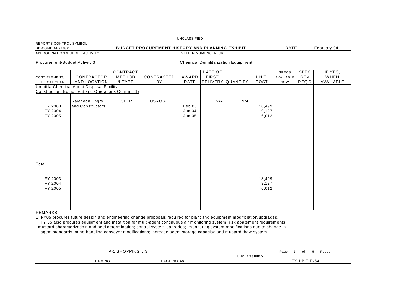| UNCLASSIFIED                                                                                         |                                                                                                                                                                                                                                                                                                                                                                                                                                                                                                                                                                                                  |                                     |                  |                                   |                         |                                            |                          |                                         |                             |                              |
|------------------------------------------------------------------------------------------------------|--------------------------------------------------------------------------------------------------------------------------------------------------------------------------------------------------------------------------------------------------------------------------------------------------------------------------------------------------------------------------------------------------------------------------------------------------------------------------------------------------------------------------------------------------------------------------------------------------|-------------------------------------|------------------|-----------------------------------|-------------------------|--------------------------------------------|--------------------------|-----------------------------------------|-----------------------------|------------------------------|
| REPORTS CONTROL SYMBOL<br><b>BUDGET PROCUREMENT HISTORY AND PLANNING EXHIBIT</b><br>DD-COMP(AR) 1092 |                                                                                                                                                                                                                                                                                                                                                                                                                                                                                                                                                                                                  |                                     |                  |                                   |                         |                                            |                          | DATE                                    |                             | February-04                  |
| APPROPRIATION /BUDGET ACTIVITY                                                                       | <b>P-1 ITEM NOMENCLATURE</b>                                                                                                                                                                                                                                                                                                                                                                                                                                                                                                                                                                     |                                     |                  |                                   |                         |                                            |                          |                                         |                             |                              |
| Procurement/Budget Activity 3                                                                        |                                                                                                                                                                                                                                                                                                                                                                                                                                                                                                                                                                                                  |                                     |                  |                                   |                         | <b>Chemical Demilitarization Equipment</b> |                          |                                         |                             |                              |
| <b>COST ELEMENT/</b><br><b>FISCAL YEAR</b>                                                           | CONTRACTOR<br>AND LOCATION                                                                                                                                                                                                                                                                                                                                                                                                                                                                                                                                                                       | <b>CONTRACT</b><br>METHOD<br>& TYPE | CONTRACTED<br>ΒY | AW ARD<br>DATE                    | DATE OF<br><b>FIRST</b> | DELIVERY QUANTITY                          | UNIT<br>COST             | <b>SPECS</b><br>AVAILABLE<br><b>NOW</b> | <b>SPEC</b><br>REV<br>REQ'D | IF YES,<br>WHEN<br>AVAILABLE |
|                                                                                                      | <b>Umatilla Chemical Agent Disposal Facility</b>                                                                                                                                                                                                                                                                                                                                                                                                                                                                                                                                                 |                                     |                  |                                   |                         |                                            |                          |                                         |                             |                              |
| FY 2003<br>FY 2004<br>FY 2005                                                                        | Construction, Equipment and Operations Contract 1)<br>Raytheon Engrs.<br>and Constructors                                                                                                                                                                                                                                                                                                                                                                                                                                                                                                        | C/FFP                               | <b>USAOSC</b>    | Feb 03<br><b>Jun 04</b><br>Jun 05 | N/A                     | N/A                                        | 18,499<br>9,127<br>6,012 |                                         |                             |                              |
| Total<br>FY 2003<br>FY 2004<br>FY 2005                                                               |                                                                                                                                                                                                                                                                                                                                                                                                                                                                                                                                                                                                  |                                     |                  |                                   |                         |                                            | 18,499<br>9,127<br>6,012 |                                         |                             |                              |
| <b>REMARKS</b>                                                                                       | 1) FY05 procures future design and engineering change proposals required for plant and equipment modificiation/upgrades.<br>FY 05 also procures equipment and installtion for multi-agent continuous air monitoring system; risk abatement requirements;<br>mustard characterizatioin and heel determination; control system upgrades; monitoring system modifications due to change in<br>agent standards; mine-handling conveyor modifications; increase agent storage capacity; and mustard thaw system.<br><b>P-1 SHOPPING LIST</b><br>Page<br>$\mathbf{3}$<br>5 <sub>5</sub><br>Pages<br>of |                                     |                  |                                   |                         |                                            |                          |                                         |                             |                              |
| <b>ITEM NO</b><br>PAGE NO 48                                                                         |                                                                                                                                                                                                                                                                                                                                                                                                                                                                                                                                                                                                  |                                     |                  |                                   |                         |                                            | <b>UNCLASSIFIED</b>      |                                         | <b>EXHIBIT P-5A</b>         |                              |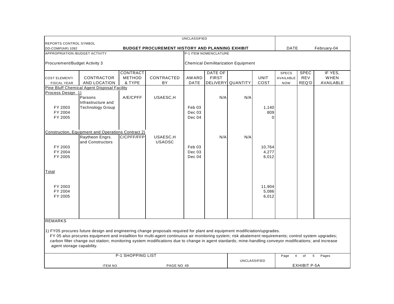| UNCLASSIFIED                                                                     |                                                                                                                                                        |                   |                   |                   |                              |                                            |             |                        |                       |             |
|----------------------------------------------------------------------------------|--------------------------------------------------------------------------------------------------------------------------------------------------------|-------------------|-------------------|-------------------|------------------------------|--------------------------------------------|-------------|------------------------|-----------------------|-------------|
| REPORTS CONTROL SYMBOL<br><b>BUDGET PROCUREMENT HISTORY AND PLANNING EXHIBIT</b> |                                                                                                                                                        |                   |                   |                   |                              |                                            |             |                        |                       |             |
| DD-COMP(AR) 1092<br><b>APPROPRIATION /BUDGET ACTIVITY</b>                        |                                                                                                                                                        |                   |                   |                   | <b>P-1 ITEM NOMENCLATURE</b> |                                            |             | DATE                   |                       | February-04 |
|                                                                                  |                                                                                                                                                        |                   |                   |                   |                              |                                            |             |                        |                       |             |
| Procurement/Budget Activity 3                                                    |                                                                                                                                                        |                   |                   |                   |                              | <b>Chemical Demilitarization Equipment</b> |             |                        |                       |             |
|                                                                                  |                                                                                                                                                        | <b>CONTRACT</b>   |                   |                   | DATE OF                      |                                            |             | <b>SPECS</b>           | <b>SPEC</b>           | IF YES.     |
| <b>COST ELEMENT/</b>                                                             | CONTRACTOR                                                                                                                                             | <b>METHOD</b>     | <b>CONTRACTED</b> | <b>AWARD</b>      | <b>FIRST</b>                 |                                            | <b>UNIT</b> | AVAILABLE              | <b>REV</b>            | WHEN        |
| <b>FISCAL YEAR</b>                                                               | AND LOCATION                                                                                                                                           | & TYPE            | BY                | <b>DATE</b>       |                              | DELIVERY QUANTITY                          | COST        | <b>NOW</b>             | REQ'D                 | AVAILABLE   |
|                                                                                  | <b>Pine Bluff Chemical Agent Disposal Facility</b>                                                                                                     |                   |                   |                   |                              |                                            |             |                        |                       |             |
| Process Design 1)                                                                | Parsons                                                                                                                                                | A/E/CPFF          |                   |                   |                              | N/A                                        |             |                        |                       |             |
|                                                                                  | Infrastructure and                                                                                                                                     |                   | USAESC,H          |                   | N/A                          |                                            |             |                        |                       |             |
| FY 2003                                                                          | Technology Group                                                                                                                                       |                   |                   | Feb 03            |                              |                                            | 1,140       |                        |                       |             |
| FY 2004                                                                          |                                                                                                                                                        |                   |                   | Dec 03            |                              |                                            | 809         |                        |                       |             |
| FY 2005                                                                          |                                                                                                                                                        |                   |                   | Dec 04            |                              |                                            | U           |                        |                       |             |
|                                                                                  |                                                                                                                                                        |                   |                   |                   |                              |                                            |             |                        |                       |             |
|                                                                                  |                                                                                                                                                        |                   |                   |                   |                              |                                            |             |                        |                       |             |
|                                                                                  | <b>Construction, Equipment and Operations Contract 2)</b>                                                                                              |                   |                   |                   |                              |                                            |             |                        |                       |             |
|                                                                                  | Raytheon Engrs.                                                                                                                                        | C/CPFF/FFP        | USAESC,H          |                   | N/A                          | N/A                                        |             |                        |                       |             |
|                                                                                  | and Constructors                                                                                                                                       |                   | <b>USAOSC</b>     |                   |                              |                                            |             |                        |                       |             |
| FY 2003                                                                          |                                                                                                                                                        |                   |                   | Feb <sub>03</sub> |                              |                                            | 10.764      |                        |                       |             |
| FY 2004<br>FY 2005                                                               |                                                                                                                                                        |                   |                   | Dec 03<br>Dec 04  |                              |                                            | 4,277       |                        |                       |             |
|                                                                                  |                                                                                                                                                        |                   |                   |                   |                              |                                            | 6,012       |                        |                       |             |
|                                                                                  |                                                                                                                                                        |                   |                   |                   |                              |                                            |             |                        |                       |             |
| Total                                                                            |                                                                                                                                                        |                   |                   |                   |                              |                                            |             |                        |                       |             |
|                                                                                  |                                                                                                                                                        |                   |                   |                   |                              |                                            |             |                        |                       |             |
|                                                                                  |                                                                                                                                                        |                   |                   |                   |                              |                                            |             |                        |                       |             |
| FY 2003                                                                          |                                                                                                                                                        |                   |                   |                   |                              |                                            | 11,904      |                        |                       |             |
| FY 2004                                                                          |                                                                                                                                                        |                   |                   |                   |                              |                                            | 5,086       |                        |                       |             |
| FY 2005                                                                          |                                                                                                                                                        |                   |                   |                   |                              |                                            | 6,012       |                        |                       |             |
|                                                                                  |                                                                                                                                                        |                   |                   |                   |                              |                                            |             |                        |                       |             |
|                                                                                  |                                                                                                                                                        |                   |                   |                   |                              |                                            |             |                        |                       |             |
|                                                                                  |                                                                                                                                                        |                   |                   |                   |                              |                                            |             |                        |                       |             |
| <b>REMARKS</b>                                                                   |                                                                                                                                                        |                   |                   |                   |                              |                                            |             |                        |                       |             |
|                                                                                  |                                                                                                                                                        |                   |                   |                   |                              |                                            |             |                        |                       |             |
|                                                                                  | 1) FY05 procures future design and engineering change proposals required for plant and equipment modificiation/upgrades.                               |                   |                   |                   |                              |                                            |             |                        |                       |             |
|                                                                                  | FY 05 also procures equipment and installtion for multi-agent continuous air monitoring system; risk abatement requirements; control system upgrades;  |                   |                   |                   |                              |                                            |             |                        |                       |             |
|                                                                                  | carbon filter change out station; monitoring system modifications due to change in agent stardards; mine-handling conveyor modifications; and increase |                   |                   |                   |                              |                                            |             |                        |                       |             |
| agent storage capability.                                                        |                                                                                                                                                        |                   |                   |                   |                              |                                            |             |                        |                       |             |
|                                                                                  |                                                                                                                                                        | P-1 SHOPPING LIST |                   |                   |                              |                                            |             |                        |                       |             |
|                                                                                  |                                                                                                                                                        |                   |                   |                   |                              |                                            |             | Page<br>$\overline{4}$ | $5\overline{5}$<br>of | Pages       |
|                                                                                  |                                                                                                                                                        |                   |                   |                   |                              | UNCLASSIFIED                               |             |                        | <b>EXHIBIT P-5A</b>   |             |
| PAGE NO 49<br><b>ITEM NO</b>                                                     |                                                                                                                                                        |                   |                   |                   |                              |                                            |             |                        |                       |             |